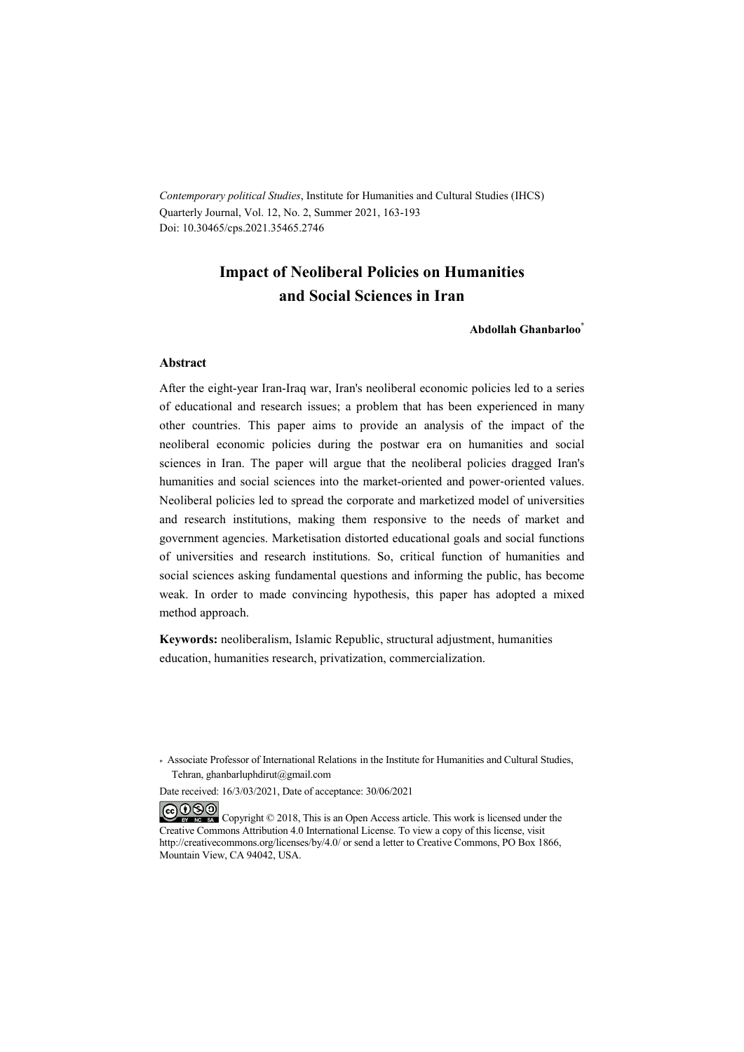*Contemporary political Studies*, Institute for Humanities and Cultural Studies (IHCS) Quarterly Journal, Vol. 12, No. 2, Summer 2021, 163-193 Doi: 10.30465/cps.2021.35465.2746

## **Impact of Neoliberal Policies on Humanities and Social Sciences in Iran**

**Abdollah Ghanbarloo\***

#### **Abstract**

After the eight-year Iran-Iraq war, Iran's neoliberal economic policies led to a series of educational and research issues; a problem that has been experienced in many other countries. This paper aims to provide an analysis of the impact of the neoliberal economic policies during the postwar era on humanities and social sciences in Iran. The paper will argue that the neoliberal policies dragged Iran's humanities and social sciences into the market-oriented and power-oriented values. Neoliberal policies led to spread the corporate and marketized model of universities and research institutions, making them responsive to the needs of market and government agencies. Marketisation distorted educational goals and social functions of universities and research institutions. So, critical function of humanities and social sciences asking fundamental questions and informing the public, has become weak. In order to made convincing hypothesis, this paper has adopted a mixed method approach.

**Keywords:** neoliberalism, Islamic Republic, structural adjustment, humanities education, humanities research, privatization, commercialization.

Date received: 16/3/03/2021, Date of acceptance: 30/06/2021

COOO Copyright © 2018, This is an Open Access article. This work is licensed under the Creative Commons Attribution 4.0 International License. To view a copy of this license, visit http://creativecommons.org/licenses/by/4.0/ or send a letter to Creative Commons, PO Box 1866, Mountain View, CA 94042, USA.

<sup>\*</sup> Associate Professor of International Relations in the Institute for Humanities and Cultural Studies, Tehran, ghanbarluphdirut@gmail.com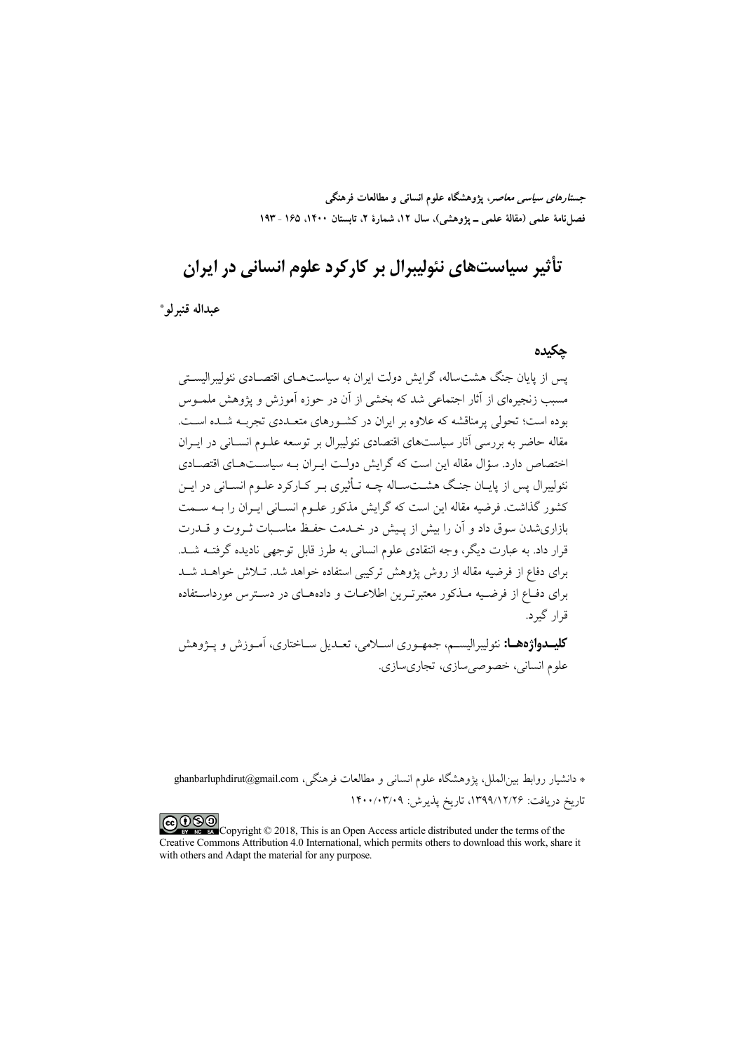جست*ارهای سیاسی معاصر*، پژوهشگاه علوم انسانی و مطالعات فرهنگی فصل نامهٔ علمی (مقالهٔ علمی ــ یژوهشی)، سال ۱۲، شمارهٔ ۲، تابستان ۱۴۰۰، ۱۶۵ ـ ۱۹۳

# تأثير سياستهاي نئوليبرال پر کارکرد علوم انساني در ايران

عبداله قنبر لو \*

### حكىدە

سر از پایان جنگ هشتساله، گرایش دولت ایران به سیاستههای اقتصبادی نئولیپرالیستی مسبب زنجیرهای از آثار اجتماعی شد که بخشی از آن در حوزه آموزش و یژوهش ملمـوس بوده است؛ تحولی پرمناقشه که علاوه بر ایران در کشـورهای متعـددی تجربـه شـده اسـت. مقاله حاضر به بررسی آثار سیاستهای اقتصادی نئولیبرال بر توسعه علــوم انســانی در ایــران اختصاص دارد. سؤال مقاله این است که گرایش دولت ایـران بـه سیاســتهـای اقتصــادی نئولیبرال پس از پایـان جنـگ هشــتـسـاله چــه تــأثیری بــر کــارکرد علــوم انســانی در ایــن .<br>کشور گذاشت. فرضیه مقاله این است که گرایش مذکور علـوم انســانی ایــران را بــه ســمت بازاری شدن سوق داد و آن را بیش از پیش در خیدمت حفیظ مناسبات ثیروت و قیدرت قرار داد. به عبارت دیگر، وجه انتقادی علوم انسانی به طرز قابل توجهی نادیده گرفتـه شـد. برای دفاع از فرضیه مقاله از روش پژوهش ترکیبی استفاده خواهد شد. تـلاش خواهــد شــد برای دفـاع از فرضـیه مــذکور معتبرتــرین اطلاعــات و دادههــای در دســترس مورداســتفاده قرار گیرد.

**کلیسدواژههسا:** نئولیبرالیسیم، جمهیوری اسپلامی، تعبدیل سپاختاری، آمیوزش و پیژوهش علوم انساني، خصوصي سازي، تجاريسازي.

\* دانشیار روابط بینالملل، یژوهشگاه علوم انسانی و مطالعات فرهنگی، ghanbarluphdirut@gmail.com .<br>تاریخ دریافت: ۱۳۹۹/۱۲/۲۶، تاریخ پذیرش: ۱۴۰۰/۰۳/۰۹

COOD experience Copyright © 2018, This is an Open Access article distributed under the terms of the Creative Commons Attribution 4.0 International, which permits others to download this work, share it with others and Adapt the material for any purpose.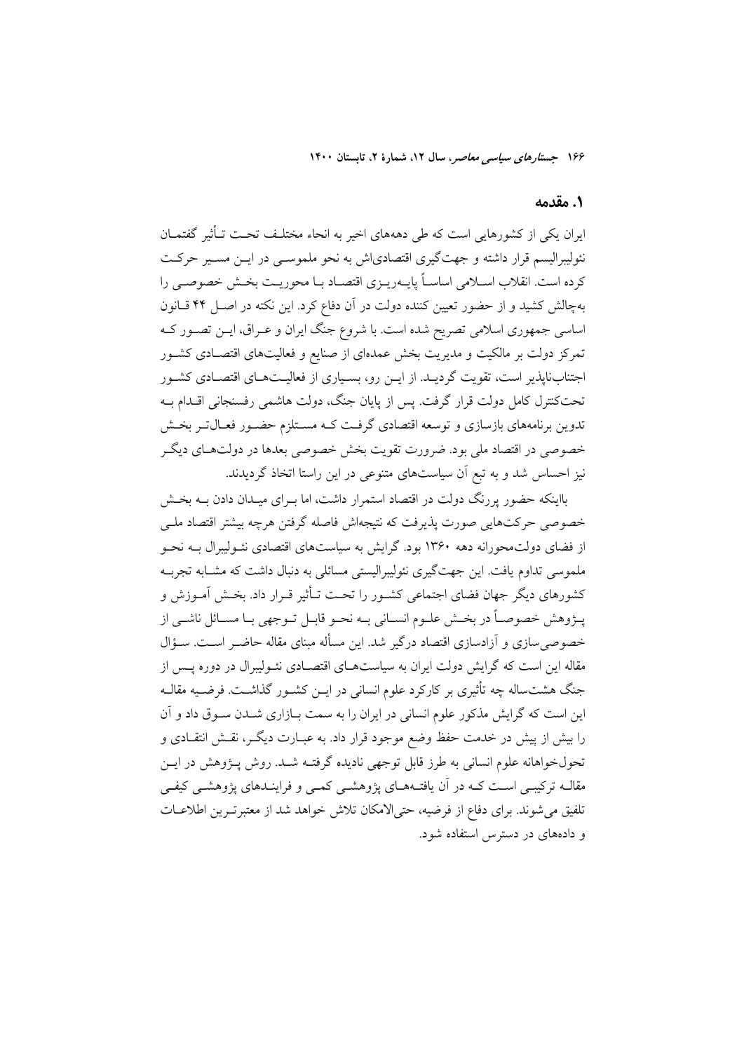### 1. مقدمه

ایران یکی از کشورهایی است که طی دهههای اخیر به انحاء مختلـف تحـت تـأثیر گفتمـان نئولیبرالیسم قرار داشته و جهتگیری اقتصادیاش به نحو ملموســی در ایــن مســیر حرکــت کرده است. انقلاب اسـلامی اساسـاً پایـهریـزی اقتصـاد بـا محوریـت بخـش خصوصـی را بهچالش کشید و از حضور تعیین کننده دولت در آن دفاع کرد. این نکته در اصـل ۴۴ قــانون اساسی جمهوری اسلامی تصریح شده است. با شروع جنگ ایران و عـراق، ایــن تصـور کــه تمرکز دولت بر مالکیت و مدیریت بخش عمدهای از صنایع و فعالیتهای اقتصـادی کشـور اجتنابناپذیر است، تقویت گردیــد. از ایــن رو، بســیاری از فعالیــتهــای اقتصــادی کشــور تحتکنترل کامل دولت قرار گرفت. پس از پایان جنگ، دولت هاشمی رفسنجانی اقــدام بــه تدوین برنامههای بازسازی و توسعه اقتصادی گرفت کـه مسـتلزم حضـور فعـالتـر بخـش خصوصی در اقتصاد ملی بود. ضرورت تقویت بخش خصوصی بعدها در دولتهای دیگر نیز احساس شد و به تبع آن سیاستهای متنوعی در این راستا اتخاذ گردیدند.

بااینکه حضور پررنگ دولت در اقتصاد استمرار داشت، اما بـرای میـدان دادن بــه بخــش خصوصی حرکتهایی صورت پذیرفت که نتیجهاش فاصله گرفتن هرچه بیشتر اقتصاد ملـی از فضای دولتمحورانه دهه ۱۳۶۰ بود. گرایش به سیاستهای اقتصادی نئـولیبرال بــه نحــو ملموسی تداوم یافت. این جهت گیری نئولیبرالیستی مسائلی به دنبال داشت که مشبایه تجربیه كشورهاي ديگر جهان فضاي اجتماعي كشـور را تحـت تـأثير قـرار داد. بخـش آمـوزش و يــــڙوهش خصوصـــاً در بخــش علــوم انســـاني بــه نحــو قابــل تــوجهي بــا مســائل ناشـــي از خصوصی سازی و آزادسازی اقتصاد درگیر شد. این مسأله مبنای مقاله حاضـر اسـت. سـؤال .<br>مقاله این است که گرایش دولت ایران به سیاستهــای اقتصــادی نئــولیبرال در دوره پــس از جنگ هشتساله چه تأثیری بر کارکرد علوم انسانی در ایــن کشــور گذاشــت. فرضــیه مقالــه این است که گرایش مذکور علوم انسانی در ایران را به سمت بـازاری شــدن ســوق داد و آن را بیش از پیش در خدمت حفظ وضع موجود قرار داد. به عبــارت دیگــر، نقــش انتقــادی و تحولخواهانه علوم انسانی به طرز قابل توجهی نادیده گرفتـه شــد. روش پــژوهش در ایــن مقالـه ترکیبـی اسـت کـه در آن یافتـههـای پژوهشـی کمـی و فراینــدهای پژوهشـی کیفـی تلفیق میشوند. برای دفاع از فرضیه، حتیالامکان تلاش خواهد شد از معتبرتـرین اطلاعـات و دادههای در دسترس استفاده شود.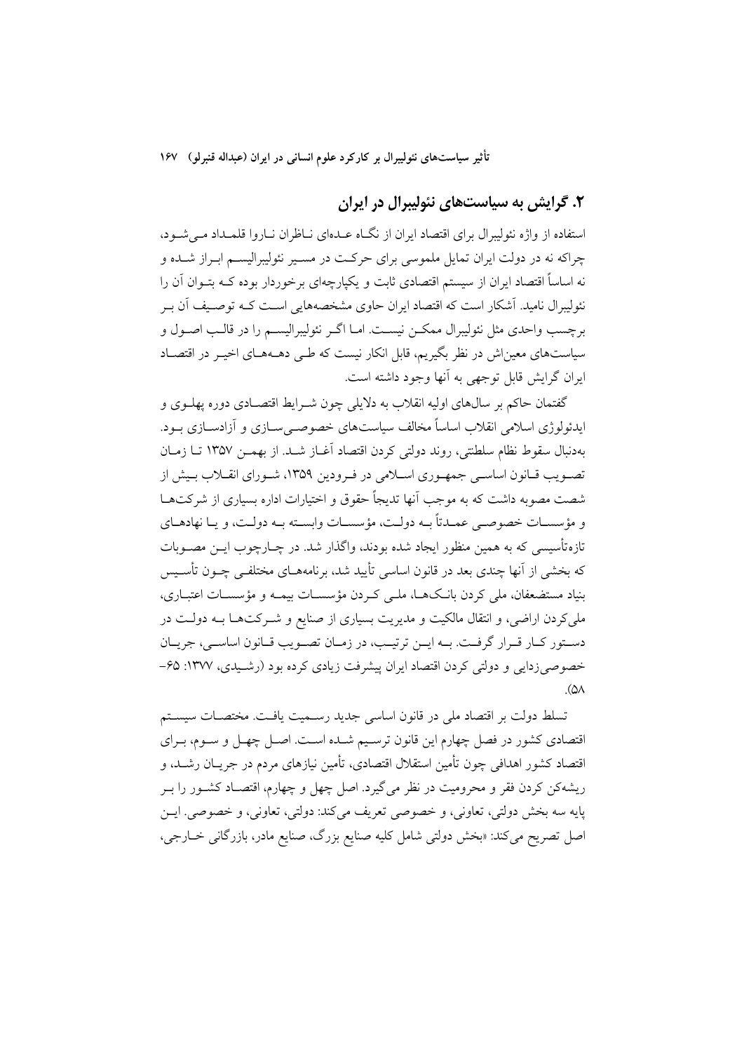## ۲. گرایش به سیاستهای نئولیبرال در ایران

استفاده از واژه نئولیبرال برای اقتصاد ایران از نگـاه عــدهای نــاظران نــاروا قلمــداد مــی شــود، چراکه نه در دولت ایران تمایل ملموسی برای حرکت در مسـیر نئولیبرالیسـم ابـراز شـده و نه اساساً اقتصاد ایران از سیستم اقتصادی ثابت و یکپارچهای برخوردار بوده کـه بتــوان آن را نئولیبرال نامید. آشکار است که اقتصاد ایران حاوی مشخصههایی اسـت کــه توصـیف اَن بــر برچسب واحدی مثل نئولیبرال ممکــن نیســت. امــا اگــر نئولیبرالیســم را در قالــب اصــول و سیاستهای معیناش در نظر بگیریم، قابل انکار نیست که طـی دهــههـای اخیـر در اقتصـاد ايوان گرايش قابل توجهي به آنها وجود داشته است.

گفتمان حاکم بر سال0های اولیه انقلاب به دلایلی چون شـرایط اقتصـادی دوره یهلــوی و ايدئولوژي اسلامي انقلاب اساساً مخالف سياستهاي خصوصـي ســازي و آزادســازي بــود. بهدنبال سقوط نظام سلطنتي، روند دولتي كردن اقتصاد أغـاز شــد. از بهمــز ١٣۵٧ تــا زمــان تصـویب قـانون اساسـی جمهـوری اسـلامی در فـرودین ۱۳۵۹، شـورای انقـلاب بـیش از شصت مصوبه داشت که به موجب آنها تدیجاً حقوق و اختیارات اداره بسیاری از شرکتهــا و مؤسسـات خصوصـي عمـدتاً بــه دولـت، مؤسسـات وابسـته بــه دولـت، و يــا نهادهــاي تازهتأسیسی که به همین منظور ایجاد شده بودند، واگذار شد. در چــارچوب ایــن مصــوبات که بخشی از آنها چندی بعد در قانون اساسی تأیید شد، برنامههــای مختلفــی چــون تأســس بنیاد مستضعفان، ملی کردن بانکها، ملـی کـردن مؤسسـات بیمـه و مؤسسـات اعتبـاری، ملی کردن اراضی، و انتقال مالکیت و مدیریت بسیاری از صنایع و شـرکتهـا بـه دولـت در دستور كـار قـرار گرفـت. بـه ايــن ترتيـب، در زمـان تصـويب قـانون اساسـي، جريــان خصوصی زدایی و دولتی کردن اقتصاد ایران پیشرفت زیادی کرده بود (رشـیدی، ۱۳۷۷: ۶۵–  $(\Delta \wedge$ 

تسلط دولت بر اقتصاد ملي در قانون اساسي جديد رسـميت يافـت. مختصـات سيسـتم اقتصادی کشور در فصل چهارم این قانون ترسیم شـده اسـت. اصـل چهـل و سـوم، بـرای اقتصاد کشور اهدافی چون تأمین استقلال اقتصادی، تأمین نیازهای مردم در جریــان رشــد، و ريشهكن كردن فقر و محروميت در نظر مي گيرد. اصل چهل و چهارم، اقتصـاد كشــور را بــر پايه سه بخش دولتي، تعاوني، و خصوصي تعريف ميكند: دولتي، تعاوني، و خصوصي. ايــن اصل تصریح میکند: «بخش دولتی شامل کلیه صنایع بزرگ، صنایع مادر، بازرگانی خــارجی،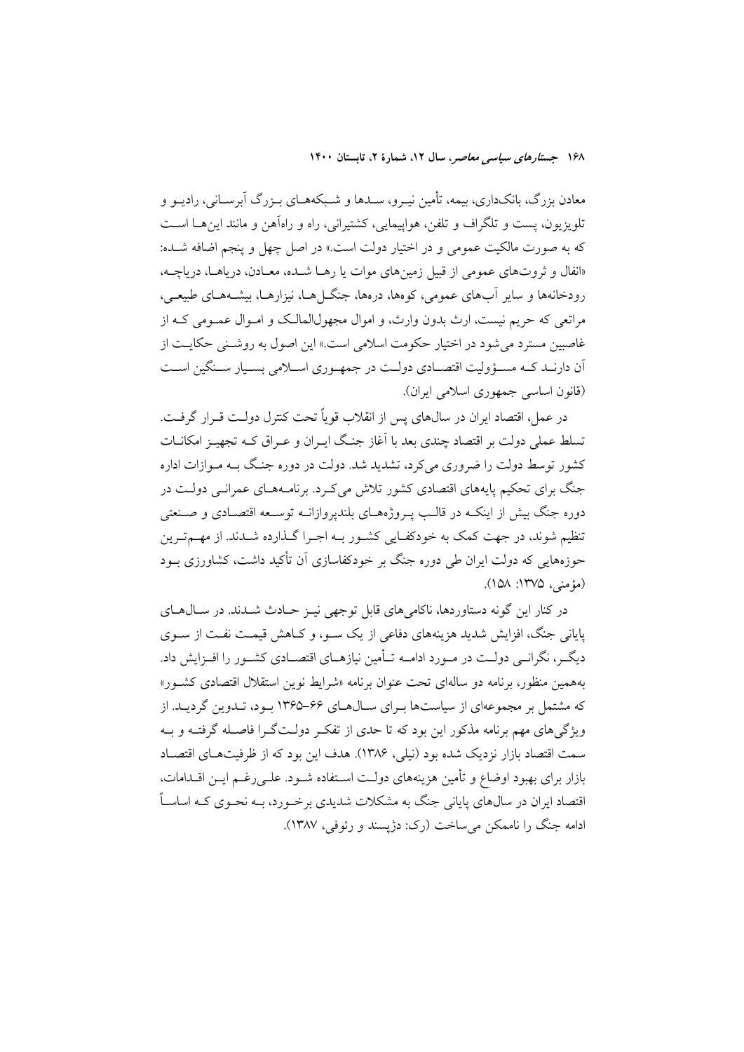معادن بزرگ، بانکداری، بیمه، تأمین نیـرو، سـدها و شـبکههـای بـزرگ آبرسـانی، رادیــو و تلويزيون، يست و تلگراف و تلفن، هواپيمايي، كشتيراني، راه و راهآهن و مانند اين هــا اســت که به صورت مالکیت عمومی و در اختیار دولت است.» در اصل چهل و پنجم اضافه شـده: «انفال و ثروتهای عمومی از قبیل زمینهای موات یا رهـا شـده، معـادن، دریاهـا، دریاچـه، رودخانهها و سایر آبهای عمومی، کوهها، درهها، جنگ(هـا، نیزارهـا، بیشـههـای طبیعـی، مراتعی که حریم نیست، ارث بدون وارث، و اموال مجهول(لمالک و امـوال عمـومی کـه از غاصبین مسترد می شود در اختیار حکومت اسلامی است.» این اصول به روشـنی حکایـت از آن دارنــد کــه مســؤوليت اقتصــادي دولــت در جمهــوري اســـلامي بســيار ســنگين اســت (قانون اساسی جمهوری اسلامی ایران).

در عمل، اقتصاد ابران در سالهای پس از انقلاب قو باً تحت کنترل دولـت قـرار گرفـت. تسلط عملی دولت بر اقتصاد چندی بعد با آغاز جنگ ایـران و عـراق کـه تجهیـز امکانــات کشور توسط دولت را ضروری می کرد، تشدید شد. دولت در دوره جنگ بـه مـوازات اداره جنگ برای تحکیم پایههای اقتصادی کشور تلاش می کـرد. برنامـههـای عمرانـی دولـت در دوره جنگ بیش از اینکـه در قالـب پـروژههـای بلندیروازانــه توســعه اقتصـادی و صــنعتی تنظیم شوند، در جهت کمک به خودکفـایی کشـور بـه اجـرا گـذارده شـدند. از مهـمتـرین حوزههایی که دولت ایران طی دوره جنگ بر خودکفاسازی آن تأکید داشت، کشاورزی بـود (مؤمنے)، ۱۳۷۵: ۱۵۸).

در کنار این گونه دستاوردها، ناکامیهای قابل توجهی نیـز حـادث شــدند. در ســال۱هـای پایانی جنگ، افزایش شدید هزینههای دفاعی از یک سـو، و کـاهش قیمـت نفـت از سـوی دیگــر، نگرانــی دولــت در مــورد ادامــه تــأمین نیازهــای اقتصــادی کشــور را افــزایش داد. بههمین منظور، برنامه دو سالهای تحت عنوان برنامه «شرایط نوین استقلال اقتصادی کشـور» که مشتمل بر مجموعهای از سیاستها بـرای سـالهـای ۶۶–۱۳۶۵ بـود، تـدوین گردیـد. از ویژگی های مهم برنامه مذکور این بود که تا حدی از تفک دولـتگـرا فاصـله گرفتـه و بـه سمت اقتصاد بازار نزدیک شده بود (نیلی، ۱۳۸۶). هدف این بود که از ظرفیتهـای اقتصـاد بازار برای بهبود اوضاع و تأمین هزینههای دولت استفاده شـود. علـی رغـم ایـن اقـدامات، اقتصاد ایران در سال@ای پایانی جنگ به مشکلات شدیدی برخورد، بــه نحــوی کــه اساســاً ادامه جنگ را ناممکن میساخت (رک: دژیسند و رئوفی، ۱۳۸۷).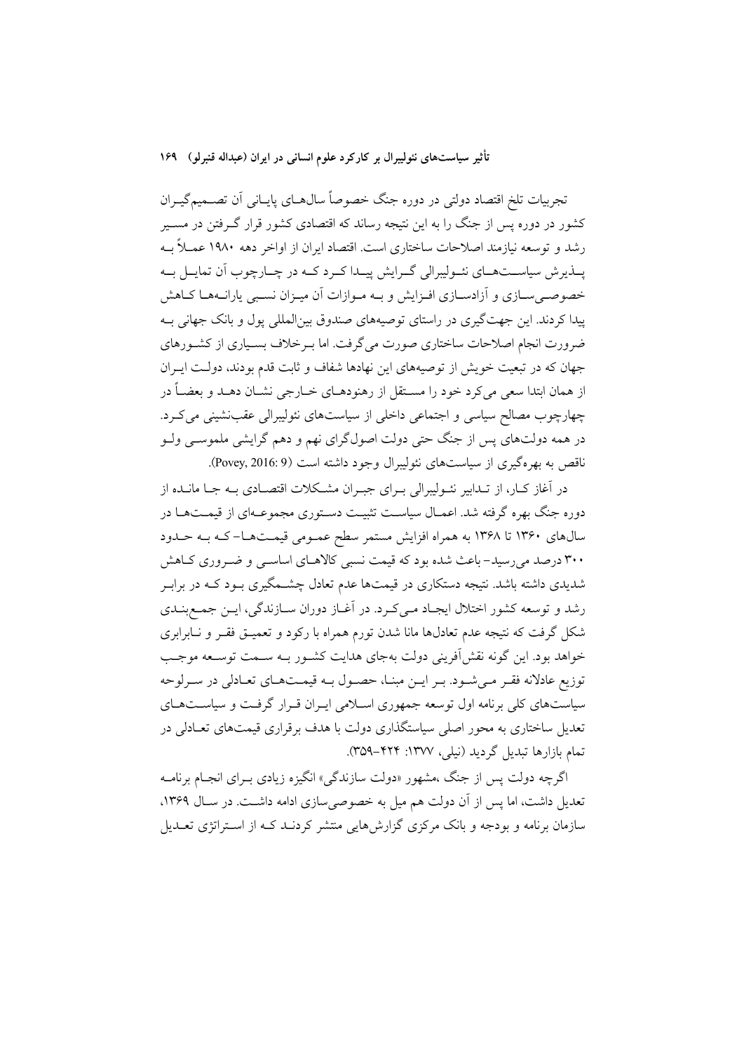تجربیات تلخ اقتصاد دولتی در دوره جنگ خصوصاً سال۵حای پایـانی آن تصــمیمگیــران کشور در دوره پس از جنگ را به این نتیجه رساند که اقتصادی کشور قرار گـرفتن در مسـیر رشد و توسعه نیازمند اصلاحات ساختاری است. اقتصاد ایران از اواخر دهه ۱۹۸۰ عمــلاً بــه یــذیرش سیاســتهــای نئــولیبرالی گــرایش پیــدا کــرد کــه در چــارچوب آن تمایــل بــه خصوصـی سـازی و آزادسـازی افـزایش و بـه مـوازات آن میـزان نسـبی پارانـههـا كـاهش پیدا کردند. این جهتگیری در راستای توصیههای صندوق بینالمللی پول و بانک جهانی بـه ضرورت انجام اصلاحات ساختاری صورت می گرفت. اما بـرخلاف بسـیاری از کشـورهای جهان که در تبعیت خویش از توصیههای این نهادها شفاف و ثابت قدم بودند، دولـت ایـران از همان ابتدا سعی میکرد خود را مسـتقل از رهنودهـای خــارجی نشــان دهــد و بعضــاً در چهارچوب مصالح سیاسی و اجتماعی داخلی از سیاستهای نئولیبرالی عقب نشینی می کرد. در همه دولتهای پس از جنگ حتی دولت اصولگرای نهم و دهم گرایشی ملموســی ولــو ناقص به بهرهگیری از سیاستهای نئولیبرال وجود داشته است (Povey, 2016: 9).

در اَغاز کـار، از تـدابیر نئـولیبرالی بـرای جبـران مشـکلات اقتصـادی بـه جـا مانـده از دوره جنگ بهره گرفته شد. اعمـال سیاسـت تثبیـت دسـتوری مجموعـهای از قیمـتهـا در سالهای ۱۳۶۰ تا ۱۳۶۸ به همراه افزایش مستمر سطح عمـومی قیمـتهـا-کـه بـه حـدود ۳۰۰ درصد میرسید- باعث شده بود که قیمت نسبی کالاهـای اساســی و ضــروری کــاهش شدیدی داشته باشد. نتیجه دستکاری در قیمتها عدم تعادل چشــمگیری بــود کــه در برابــر رشد و توسعه كشور اختلال ايجـاد مـىكـرد. در أغـاز دوران سـازندگى، ايـن جمـع بنـدى شکل گرفت که نتیجه عدم تعادلها مانا شدن تورم همراه با رکود و تعمیــق فقــر و نــابرابری خواهد بود. این گونه نقشآفرینی دولت بهجای هدایت کشـور بـه سـمت توسـعه موجـب توزیع عادلانه فقـر مـیشـود. بـر ایـن مبنـا، حصـول بـه قیمـتهـای تعـادلی در سـرلوحه سیاستهای کلی برنامه اول توسعه جمهوری اسلامی ایـران قـرار گرفـت و سیاسـتهـای تعدیل ساختاری به محور اصلی سیاستگذاری دولت با هدف برقراری قیمتهای تعـادلی در تمام بازارها تبدیل گردید (نیلی، ۱۳۷۷: ۴۲۴–۳۵۹).

اگرچه دولت پس از جنگ ،مشهور «دولت سازندگی» انگیزه زیادی بــرای انجــام برنامــه تعدیل داشت، اما پس از آن دولت هم میل به خصوصی سازی ادامه داشت. در سـال ۱۳۶۹، سازمان برنامه و بودجه و بانک مرکزی گزارش هایی منتشر کردنــد کــه از اســتراتژی تعــدیل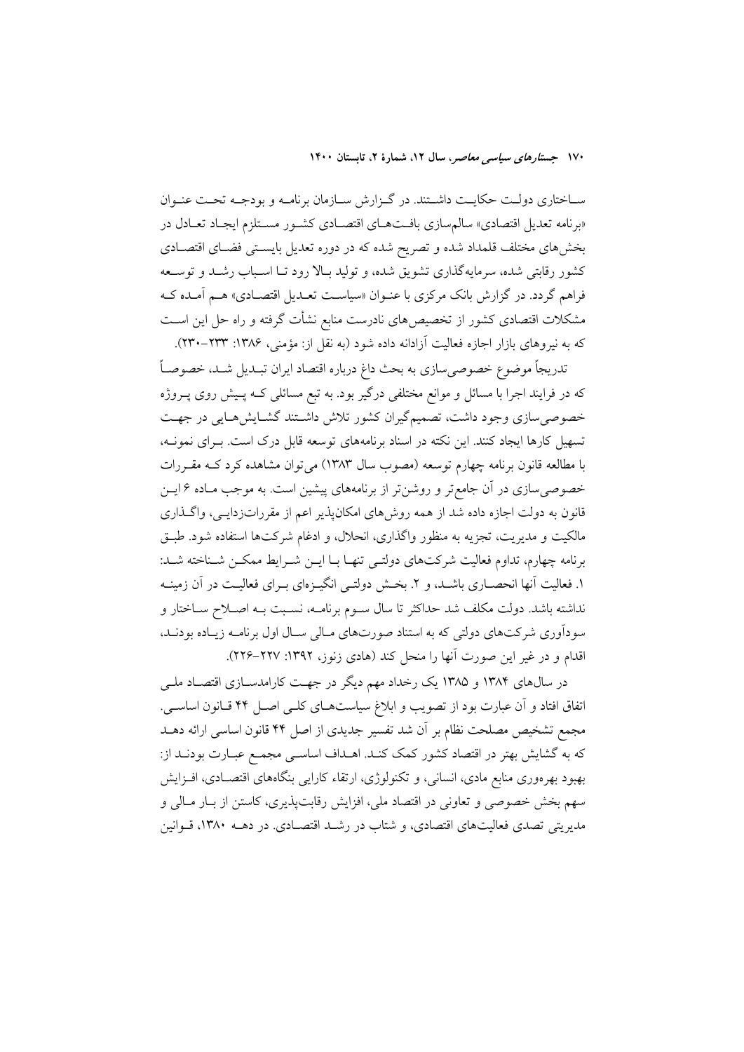سـاختاري دولـت حكايـت داشـتند. در گـزارش سـازمان برنامـه و بودجـه تحـت عنـوان «برنامه تعدیل اقتصادی» سالم سازی بافتهـای اقتصـادی کشـور مسـتلزم ایجـاد تعـادل در بخشهای مختلف قلمداد شده و تصریح شده که در دوره تعدیل بایستی فضـای اقتصـادی کشور رقابتی شده، سرمایهگذاری تشویق شده، و تولید بـالا رود تـا اسـباب رشـد و توسـعه فراهم گردد. در گزارش بانک مرکزی با عنـوان «سیاسـت تعـدیل اقتصـادی» هـم آمـده کـه مشکلات اقتصادی کشور از تخصیص۵مای نادرست منابع نشأت گرفته و راه حل این اسـت که به نیروهای بازار اجازه فعالیت آزادانه داده شود (به نقل از: مؤمنی، ۱۳۸۶: ۲۳۳-۲۳۰).

تدریجاً موضوع خصوصی سازی به بحث داغ درباره اقتصاد ایران تبـدیل شـد، خصوصـاً که در فرایند اجرا با مسائل و موانع مختلفی درگیر بود. به تبع مسائلی کـه پـیش روی پــروژه خصوصی سازی وجود داشت، تصمیمگیران کشور تلاش داشـتند گشـایش۵حایی در جهـت تسهیل کارها ایجاد کنند. این نکته در اسناد برنامههای توسعه قابل درک است. بـرای نمونـه، با مطالعه قانون برنامه چهارم توسعه (مصوب سال ۱۳۸۳) می توان مشاهده کرد کـه مقـررات خصوصی سازی در آن جامع تر و روشن تر از برنامههای پیشین است. به موجب مـاده ۶ ایــن قانون به دولت اجازه داده شد از همه روشهای امکانپذیر اعم از مقرراتزدایـی، واگـذاری مالکیت و مدیریت، تجزیه به منظور واگذاری، انحلال، و ادغام شرکتها استفاده شود. طبـق برنامه چهارم، تداوم فعالیت شرکتهای دولتـی تنهـا بـا ایــن شــرایط ممکــن شــناخته شــد: ۱. فعالیت آنها انحصـاری باشــد، و ۲. بخــش دولتــی انگیــزهای بــرای فعالیــت در آن زمینــه نداشته باشد. دولت مکلف شد حداکثر تا سال سـوم برنامــه، نسـبت بــه اصــلاح ســاختار و سودآوری شرکتهای دولتی که به استناد صورتهای مـالی سـال اول برنامـه زيـاده بودنـد، اقدام و در غیر این صورت آنها را منحل کند (هادی زنوز، ۱۳۹۲: ۲۲۷–۲۲۶).

در سال@ای ۱۳۸۴ و ۱۳۸۵ یک رخداد مهم دیگر در جهت کارامدســازی اقتصــاد ملــی اتفاق افتاد و آن عبارت بود از تصويب و ابلاغ سياستهـاي كلـي اصـل ۴۴ قـانون اساسـي. مجمع تشخیص مصلحت نظام بر آن شد تفسیر جدیدی از اصل ۴۴ قانون اساسی ارائه دهــد که به گشایش بهتر در اقتصاد کشور کمک کنـد. اهـداف اساســی مجمــع عبــارت بودنــد از: بهبود بهرهوری منابع مادی، انسانی، و تکنولوژی، ارتقاء کارایی بنگاههای اقتصـادی، افــزایش سهم بخش خصوصی و تعاونی در اقتصاد ملی، افزایش رقابتپذیری، کاستن از بـار مـالی و مدیریتی تصدی فعالیتهای اقتصادی، و شتاب در رشـد اقتصـادی. در دهــه ۱۳۸۰، قــوانین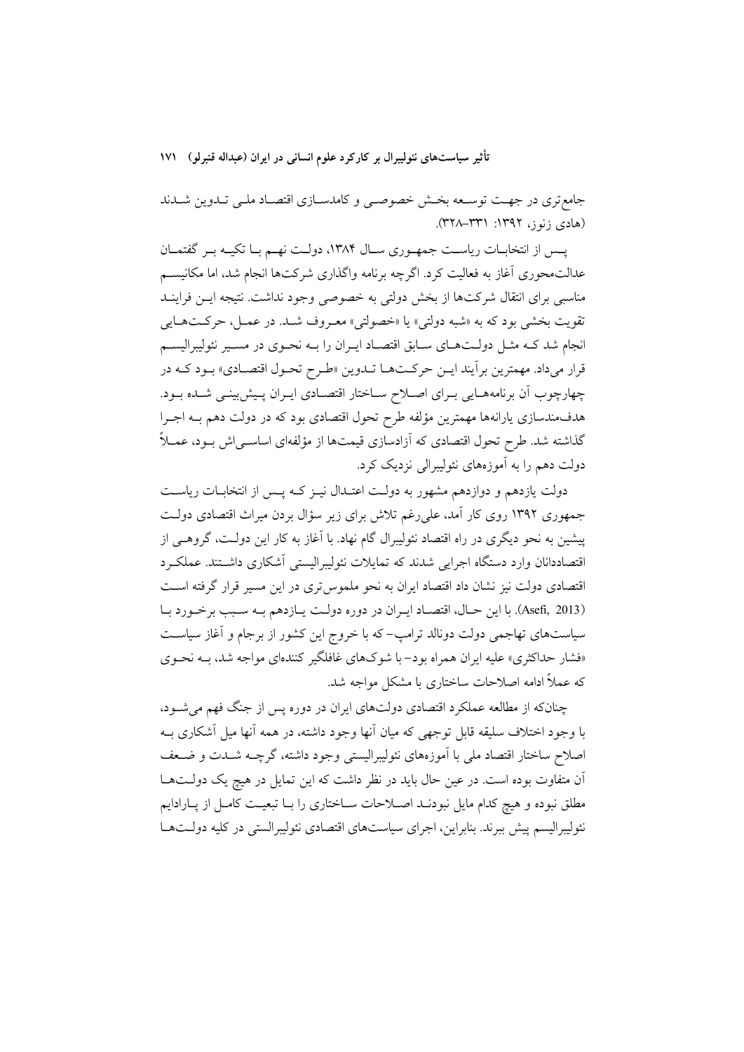جامع تری در جهت توسعه بخش خصوصبی و کامدسازی اقتصاد ملبی تـدوین شـدند (هادی زنوز، ۱۳۹۲: ۳۳۱–۳۲۸).

پـس از انتخابـات رياسـت جمهـوري سـال ١٣٨۴، دولـت نهـم بـا تكيـه بـر گفتمـان عدالت.حوری آغاز به فعالیت کرد. اگرچه برنامه واگذاری شرکتها انجام شد، اما مکانیســم مناسبی برای انتقال شرکتها از بخش دولتی به خصوصی وجود نداشت. نتیجه ایــن فراینــد تقويت بخشي بود كه به «شبه دولتي» يا «خصولتي» معـروف شـد. در عمـل، حركـتهـايي انجام شد کـه مثـل دولـتهـای سـابق اقتصـاد ايـران را بـه نحـوی در مسـير نئوليبراليسـم قرار میداد. مهمترین برآیند ایـن حرکـتهـا تـدوین «طـرح تحـول اقتصـادي» بـود کـه در چهارچوب اّن برنامههـایی بـرای اصـلاح سـاختار اقتصـادی ایـران پـیش بینـی شـده بـود. هدفمندسازي پارانهها مهمترين مؤلفه طرح تحول اقتصادي بود كه در دولت دهم بــه اجــرا گذاشته شد. طرح تحول اقتصادی که آزادسازی قیمتها از مؤلفهای اساسـی|ش بـود، عمــلاً دولت دهم را به آموزههای نئولیبرالی نزدیک کرد.

دولت یازدهم و دوازدهم مشهور به دولت اعتـدال نیـز کـه پـس از انتخابـات ریاسـت جمهوری ۱۳۹۲ روی کار آمد، علی رغم تلاش برای زیر سؤال بردن میراث اقتصادی دولت پیشین به نحو دیگری در راه اقتصاد نئولیبرال گام نهاد. با آغاز به کار این دولـت، گروهـی از اقتصاددانان وارد دستگاه اجرایی شدند که تمایلات نئولیبرالیستی اَشکاری داشـتند. عملک د اقتصادی دولت نیز نشان داد اقتصاد ایران به نحو ملموس تری در این مسیر قرار گرفته است (Asefi, 2013). با اين حـال، اقتصـاد ايـران در دوره دولـت يـازدهم بـه سـبب برخـورد بـا سیاستهای تهاجمی دولت دونالد ترامپ-که با خروج این کشور از برجام و آغاز سیاست «فشار حداکثری» علیه ایران همراه بود- با شوکهای غافلگیر کنندهای مواجه شد، بـه نحـوی که عملاً ادامه اصلاحات ساختاری با مشکل مواجه شد.

چنانکه از مطالعه عملکرد اقتصادی دولتهای ایران در دوره پس از جنگ فهم میشــود، با وجود اختلاف سليقه قابل توجهي كه ميان أنها وجود داشته، در همه أنها ميل أشكاري بــه اصلاح ساختار اقتصاد ملى با آموزههاى نئوليبراليستى وجود داشته، گرچــه شــدت و ضــعف آن متفاوت بوده است. در عین حال باید در نظر داشت که این تمایل در هیچ یک دولـتهــا مطلق نبوده و هیچ کدام مایل نبودنـد اصـلاحات سـاختاری را بـا تبعیـت کامـل از پـارادایم نئولیبرالیسم پیش ببرند. بنابراین، اجرای سیاستهای اقتصادی نئولیبرالستی در کلیه دولـتهـا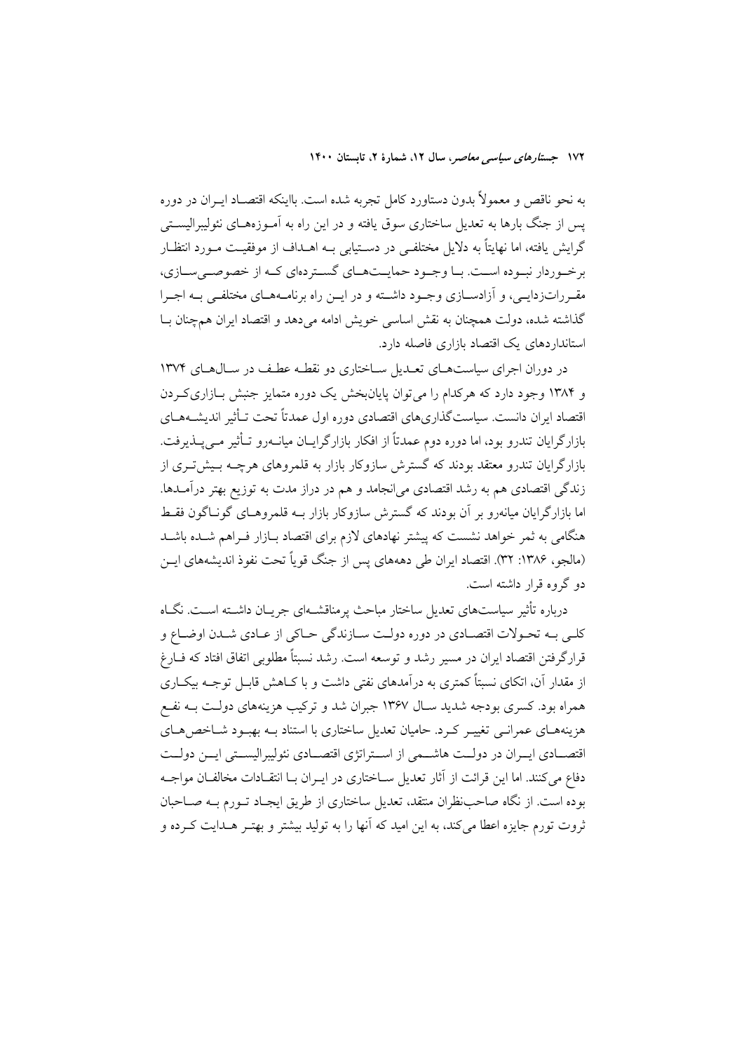به نحو ناقص و معمولاً بدون دستاورد کامل تجربه شده است. بااینکه اقتصـاد ایــران در دوره یس از جنگ بارها به تعدیل ساختاری سوق یافته و در این راه به آمـوزههـای نئولیبرالیســتی گرایش یافته، اما نهایتاً به دلایل مختلفـی در دســتیابی بــه اهــداف از موفقیــت مــورد انتظــار بر خـوردار نبـوده اسـت. بـا وجـود حمايـتهـاي گسـتردهاي كـه از خصوصـي سـازي، مقـرراتزدايـي، و آزادسـازي وجـود داشــته و در ايــن راه برنامــههــاي مختلفــي بــه اجــرا گذاشته شده، دولت همچنان به نقش اساسی خویش ادامه میدهد و اقتصاد ایران همچنان بـا استانداردهای یک اقتصاد بازاری فاصله دارد.

در دوران اجرای سیاستهای تعـدیل سـاختاری دو نقطـه عطـف در سـالهـای ۱۳۷۴ و ۱۳۸۴ وجود دارد که هرکدام را می توان پایانبخش یک دوره متمایز جنبش بـازاری کـردن اقتصاد ايران دانست. سياست گذاري هاي اقتصادي دوره اول عمدتاً تحت تـأثـر اندىشــههــاي بازارگرایان تندرو بود، اما دوره دوم عمدتاً از افکار بازارگرایـان میانــهرو تــأثیر مــی پــذیرفت. بازارگرایان تندرو معتقد بودند که گسترش سازوکار بازار به قلمروهای هرچــه بــیشتــری از زندگی اقتصادی هم به رشد اقتصادی میانجامد و هم در دراز مدت به توزیع بهتر درآمـدها. اما بازارگرایان میانەرو بر آن بودند که گسترش سازوکار بازار بــه قلمروهــای گونــاگون فقــط هنگامی به ثمر خواهد نشست که پیشتر نهادهای لازم برای اقتصاد بـازار فـراهم شـده باشـد (مالجو، ١٣٨۶: ٣٢). اقتصاد ايران طي دهههاي پس از جنگ قوياً تحت نفوذ انديشههاي ايـن دو گروه قرار داشته است.

درباره تأثیر سیاستهای تعدیل ساختار مباحث پرمناقشـهای جریـان داشـته اسـت. نگـاه كلبي بـه تحـولات اقتصـادي در دوره دولـت سـازندگي حـاكي از عـادي شــدن اوضــاع و قرارگرفتن اقتصاد ایران در مسیر رشد و توسعه است. رشد نسبتاً مطلوبی اتفاق افتاد که فــارغ از مقدار آن، اتکای نسبتاً کمتری به درآمدهای نفتی داشت و با کـاهش قابـل توجــه بیکــاری همراه بود. کسری بودجه شدید سـال ۱۳۶۷ جبران شد و ترکیب هزینههای دولـت بــه نفــع هزینههـای عمرانـی تغییـر کـرد. حامیان تعدیل ساختاری با استناد بـه بهبـود شــاخص هـای اقتصـادي ايـران در دولـت هاشـمي از اسـتراتژي اقتصـادي نئوليبراليسـتي ايــن دولـت دفاع می کنند. اما این قرائت از آثار تعدیل سـاختاری در ایـران بـا انتقـادات مخالفـان مواجــه بوده است. از نگاه صاحبنظران منتقد، تعدیل ساختاری از طریق ایجـاد تـورم بــه صــاحبان ثروت تورم جایزه اعطا می کند، به این امید که آنها را به تولید بیشتر و بهتـر هــدایت کــرده و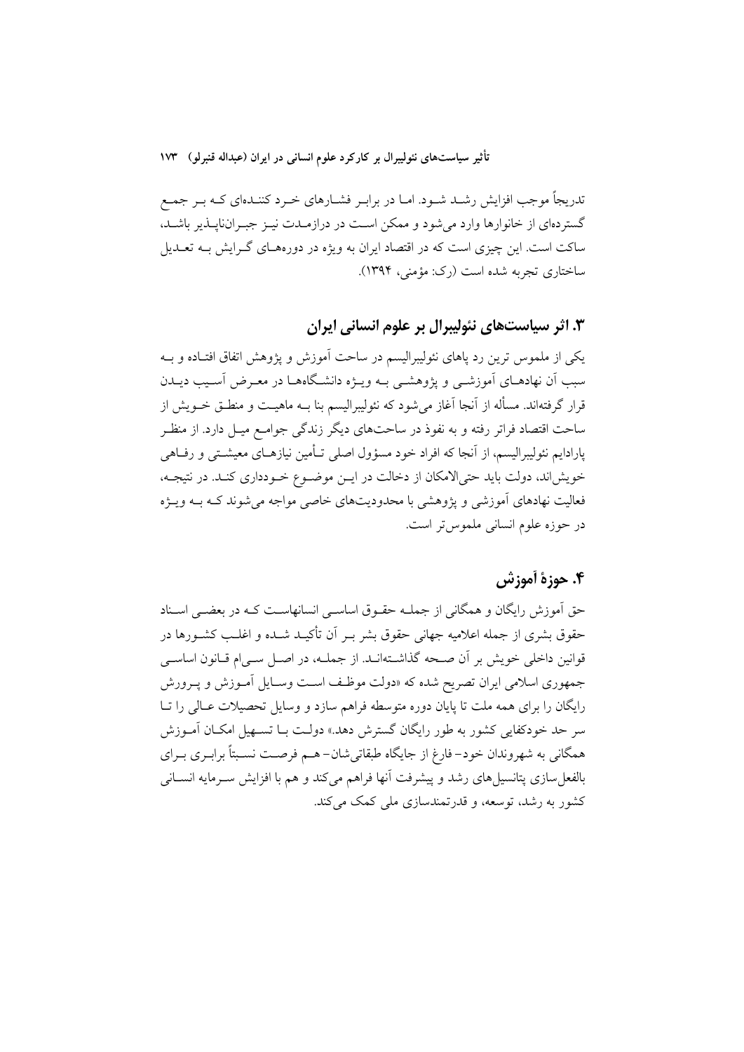تدریجاً موجب افزایش رشـد شـود. امـا در برابـر فشـارهای خـرد کننـدهای کـه بـر جمـع گستردهای از خانوارها وارد می شود و ممکن است در درازمـدت نیـز جبـراننایــذیر باشــد، ساکت است. این چیزی است که در اقتصاد ایران به ویژه در دورههـای گــرایش بــه تعــدیل ساختاري تجربه شده است (رک: مؤمني، ۱۳۹۴).

۰۳ اثر سیاستهای نئولیبرال بر علوم انسانی ایران

یکی از ملموس ترین رد پاهای نئولیبرالیسم در ساحت آموزش و پژوهش اتفاق افتـاده و بــه سبب آن نهادهـای آموزشــی و پژوهشــی بــه ویــژه دانشـگاههــا در معــرض آســیب دیــدن قرار گرفتهاند. مسأله از آنجا آغاز می شود که نئولیبرالیسم بنا بــه ماهیــت و منطــق خــویش از ساحت اقتصاد فراتر رفته و به نفوذ در ساحتهای دیگر زندگی جوامـع میـل دارد. از منظـر پارادایم نئولیبرالیسم، از آنجا که افراد خود مسؤول اصلی تــأمین نیازهــای معیشــتی و رفــاهی خویش اند، دولت باید حتی الامکان از دخالت در ایـن موضـوع خـودداری کنـد. در نتیجـه، فعالیت نهادهای آموزشی و یژوهشی با محدودیتهای خاصی مواجه می شوند کـه بــه ویــژه در حوزه علوم انسانی ملموس تر است.

## ۴. حوزة أموزش

حق آموزش رایگان و همگانی از جملـه حقـوق اساسـبی انسانهاسـت کـه در بعضـبی اسـناد حقوق بشری از جمله اعلامیه جهانی حقوق بشر بـر أن تأکیــد شــده و اغلــب کشــورها در قوانین داخلی خویش بر آن صـحه گذاشـتهانـد. از جملــه، در اصــل ســی|م قــانون اساســی جمهوري اسلامي ايران تصريح شده كه «دولت موظف است وسـايل اَمـوزش و يـرورش رایگان را برای همه ملت تا پایان دوره متوسطه فراهم سازد و وسایل تحصیلات عـالی را تـا سر حد خودکفایی کشور به طور رایگان گسترش دهد.» دولـت بــا تســهیل امکــان آمــوزش همگانی به شهروندان خود–فارغ از جایگاه طبقاتیشان–هـم فرصـت نسـبتاً برابـری بـرای بالفعل سازی پتانسیل های رشد و پیشرفت آنها فراهم میکند و هم با افزایش سـرمایه انســانی کشور به رشد، توسعه، و قدرتمندسازی ملے کمک مےکند.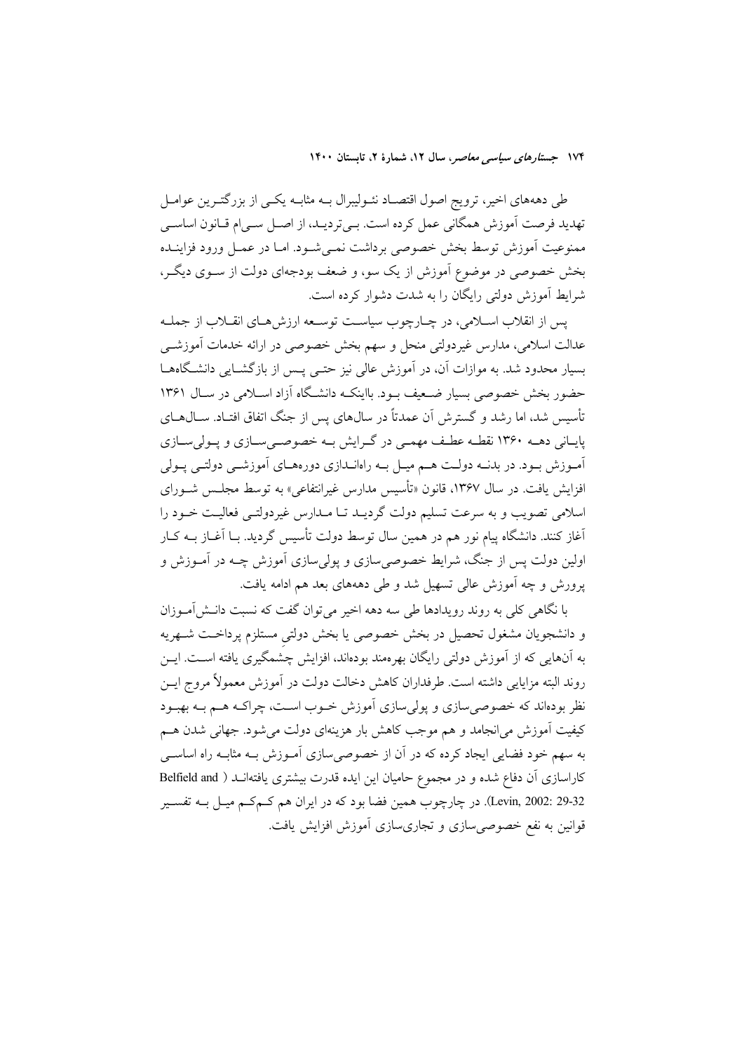طی دهههای اخیر، ترویج اصول اقتصـاد نئــولیبرال بــه مثابــه یکــی از بزرگتــرین عوامــل تهديد فرصت آموزش همگاني عمل كرده است. بـي ترديـد، از اصـل سـي|م قـانون اساسـي ممنوعيت آموزش توسط بخش خصوصي برداشت نمـي شـود. امـا در عمـل ورود فزاينــده بخش خصوصی در موضوع آموزش از یک سو، و ضعف بودجهای دولت از ســوی دیگــر، شرايط آموزش دولتي رايگان را به شدت دشوار كرده است.

يس از انقلاب اسـلامي، در چــارچوب سياســت توســعه ارزش هــاي انقــلاب از جملــه عدالت اسلامی، مدارس غیردولتی منحل و سهم بخش خصوصی در ارائه خدمات آموزشــی بسیار محدود شد. به موازات آن، در آموزش عالی نیز حتـی پـس از بازگشـایی دانشـگاههـا حضور بخش خصوصی بسیار ضعیف بود. بااینک دانشگاه آزاد اسلامی در سـال ۱۳۶۱ تأسس شد، اما رشد و گسترش آن عمدتاً در سال۱های پس از جنگ اتفاق افتــاد. ســال۱هــای پایـانی دهــه ۱۳۶۰ نقطــه عطـف مهمــی در گــرایش بــه خصوصــیســازی و پــولیســازی آمـوزش بـود. در بدنــه دولــت هــم ميــل بــه راهانــدازي دورههــاي آموزشــي دولتــي يــولي افزایش یافت. در سال ۱۳۶۷، قانون «تأسیس مدارس غیرانتفاعی» به توسط مجلـس شـورای اسلامی تصویب و به سرعت تسلیم دولت گردیـد تـا مـدارس غیردولتـی فعالیـت خـود را آغاز کنند. دانشگاه پیام نور هم در همین سال توسط دولت تأسیس گردید. بـا آغــاز بــه کــار اولین دولت پس از جنگ، شرایط خصوصی سازی و پولی سازی آموزش چــه در آمــوزش و یرورش و چه آموزش عالی تسهیل شد و طی دهههای بعد هم ادامه یافت.

با نگاهی کلی به روند رویدادها طی سه دهه اخیر میتوان گفت که نسبت دانـش[مـوزان و دانشجویان مشغول تحصیل در بخش خصوصی یا بخش دولتی مستلزم پرداخت شـهریه به آنهایی که از آموزش دولتی رایگان بهرهمند بودهاند، افزایش چشمگیری یافته اسـت. ایــن روند البته مزايايي داشته است. طرفداران كاهش دخالت دولت در آموزش معمولاً مروج ايــن نظر بودهاند که خصوصی سازی و پولی سازی آموزش خــوب اســت، چراکــه هــم بــه بهبــود کیفیت آموزش می|نجامد و هم موجب کاهش بار هزینهای دولت می شود. جهانی شدن هسم به سهم خود فضایی ایجاد کرده که در آن از خصوصی سازی آمـوزش بــه مثابــه راه اساســی کاراسازی آن دفاع شده و در مجموع حامیان این ایده قدرت بیشتری یافتهانــد ( Belfield and Levin, 2002: 29-32). در چارچوب همين فضا بود كه در ايران هم كـمكـم ميـل بــه تفســير قوانین به نفع خصوصی سازی و تجاریسازی آموزش افزایش یافت.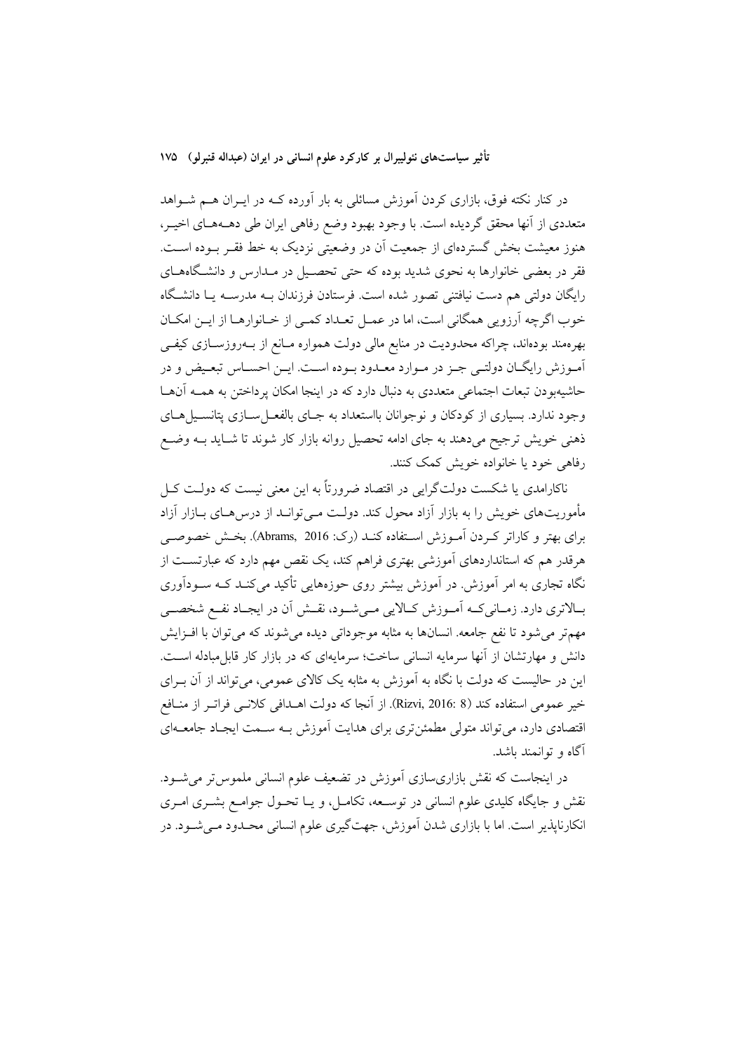در کنار نکته فوق، بازاری کردن آموزش مسائلی به بار آورده کـه در ایــران هــم شــواهد متعددي از أنها محقق گرديده است. با وجود بهبود وضع رفاهي ايران طي دهــههــاي اخيــر، هنوز معیشت بخش گستردهای از جمعیت آن در وضعیتی نزدیک به خط فقـر بـوده اسـت. فقر در بعضی خانوارها به نحوی شدید بوده که حتی تحصـیل در مـدارس و دانشـگاههــای رایگان دولتی هم دست نیافتنی تصور شده است. فرستادن فرزندان بــه مدرســه یــا دانشــگاه خوب اگرچه آرزویی همگانی است، اما در عمـل تعـداد کمـی از خـانوارهـا از ایــن امکــان بهرهمند بودهاند، چراکه محدودیت در منابع مالی دولت همواره مـانع از بــهروزســازی کیفــی آموزش رایگـان دولتـی جـز در مـوارد معـدود بـوده اسـت. ایـن احسـاس تبعـیض و در حاشیهبودن تبعات اجتماعی متعددی به دنبال دارد که در اینجا امکان پرداختن به همـه آنهـا وجود ندارد. بسیاری از کودکان و نوجوانان بااستعداد به جـای بالفعـل سـازی پتانســیلهـای ذهنی خویش ترجیح میدهند به جای ادامه تحصیل روانه بازار کار شوند تا شـاید بــه وضــع رفاهي خود يا خانواده خويش كمك كنند.

ناکارامدی یا شکست دولتگرایی در اقتصاد ضرورتاً به این معنی نیست که دولــت کــل مأموریتهای خویش را به بازار آزاد محول کند. دولت مـی توانـد از درسهـای بــازار آزاد برای بهتر و کاراتر کـردن اَمـوزش اسـتفاده کنـد (رک: Abrams, 2016). بخـش خصوصـی هرقدر هم که استانداردهای آموزشی بهتری فراهم کند، یک نقص مهم دارد که عبارتسـت از .<br>نگاه تجاری به امر آموزش<sub>.</sub> در آموزش بیشتر روی حوزههایی تأکید می کنــد کــه ســودآوری بـالاترى دارد. زمـانى كــه أمــوزش كــالايي مــىشــود، نقــش أن در ايجــاد نفــع شخصــى مهمتر می شود تا نفع جامعه. انسانها به مثابه موجوداتی دیده می شوند که می توان با افـزایش دانش و مهارتشان از آنها سرمایه انسانی ساخت؛ سرمایهای که در بازار کار قابل مبادله است. این در حالیست که دولت با نگاه به آموزش به مثابه یک کالای عمومی، میتواند از آن بـرای خير عمومي استفاده كند (Rizvi, 2016: 8). از آنجا كه دولت اهــدافي كلانــي فراتــر از منــافع اقتصادی دارد، می تواند متولی مطمئن تری برای هدایت آموزش بـه سـمت ایجـاد جامعــهای آگاه و توانمند باشد.

در اینجاست که نقش بازاریسازی آموزش در تضعیف علوم انسانی ملموس تر می شود. نقش و جایگاه کلیدی علوم انسانی در توسـعه، تکامـل، و یــا تحــول جوامــع بشــری امــری انکارناپذیر است. اما با بازاری شدن آموزش، جهتگیری علوم انسانی محـدود مـیشـود. در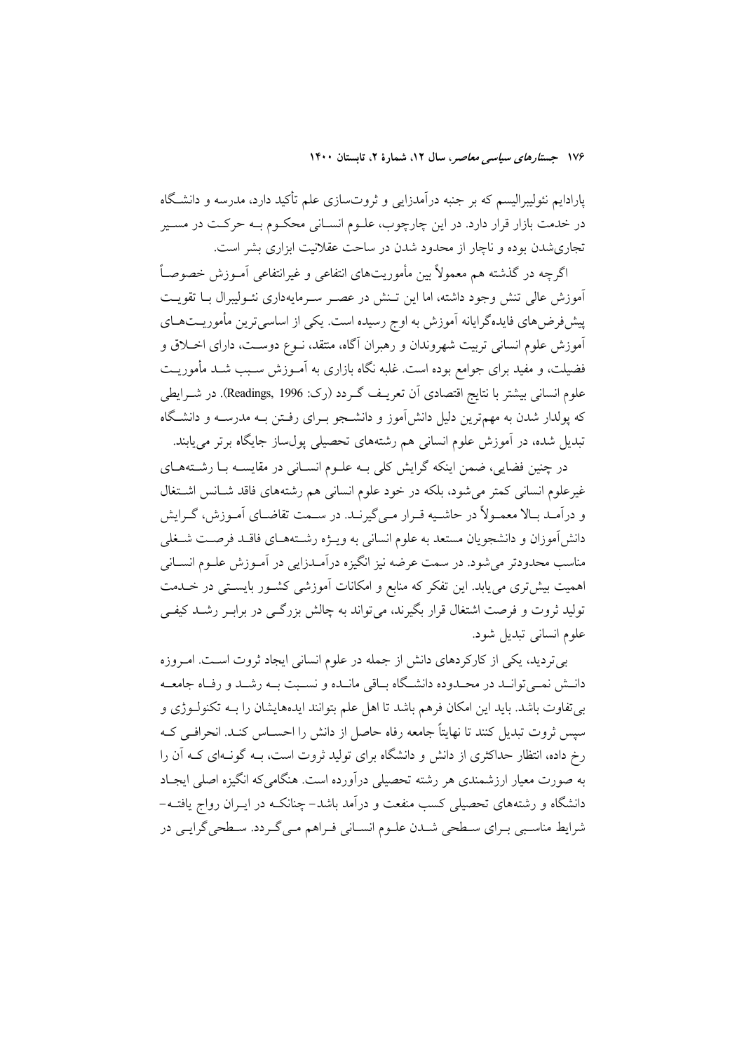پارادایم نئولیبرالیسم که بر جنبه درآمدزایی و ثروتسازی علم تأکید دارد، مدرسه و دانشگاه در خدمت بازار قرار دارد. در این چارچوب، علـوم انسـانی محکـوم بـه حرکـت در مسـیر تجاری شدن بوده و ناچار از محدود شدن در ساحت عقلانیت ابزاری بشر است.

اگرچه در گذشته هم معمولاً بین مأموریتهای انتفاعی و غیرانتفاعی آمـوزش خصوصـاً .<br>آموزش عالی تنش وجود داشته، اما این تـنش در عصـر سـرمایهداری نئــولیبرال بــا تقویــت پیشفر ض۵مای فایدهگرایانه آموزش به اوج رسیده است. یکی از اساسی ترین مأموریـتهـای آموزش علوم انسانی تربیت شهروندان و رهبران آگاه، منتقد، نــوع دوســت، دارای اخــلاق و فضیلت، و مفید برای جوامع بوده است. غلبه نگاه بازاری به آمـوزش سـبب شـد مأموریـت علوم انسانی بیشتر با نتایج اقتصادی اَن تعریـف گـردد (رک: Readings, 1996). در شــرایطی که یولدار شدن به مهمترین دلیل دانش آموز و دانشــجو بــرای رفــتن بــه مدرســه و دانشــگاه تبدیل شده، در آموزش علوم انسانی هم رشتههای تحصیلی پولساز جایگاه برتر مییابند.

در چنین فضایی، ضمن اینکه گرایش کلی بـه علـوم انسـانی در مقایســه بـا رشــتههـای غیرعلوم انسانی کمتر میشود، بلکه در خود علوم انسانی هم رشتههای فاقد شـانس اشـتغال و درآمـد بـالا معمـولاً در حاشـبه قـرار مـي گيرنـد. در سـمت تقاضـاي آمـوزش، گـرايش دانشآموزان و دانشجویان مستعد به علوم انسانی به ویـژه رشــتههــای فاقــد فرصــت شــغلی مناسب محدودتر می شود. در سمت عرضه نیز انگیزه درآمـدزایی در آمـوزش علـوم انســانی اهمیت بیش تری می یابد. این تفکر که منابع و امکانات آموزشی کشـور بایسـتی در خــدمت تولید ثروت و فرصت اشتغال قرار بگیرند، می تواند به چالش بزرگـی در برابـر رشــد کیفــی علوم انسانی تبدیل شود.

بیتردید، یکی از کارکردهای دانش از جمله در علوم انسانی ایجاد ثروت است. امروزه دانــش نمــيتوانــد در محــدوده دانشــگاه بــاقي مانــده و نســبت بــه رشــد و رفــاه جامعــه بی تفاوت باشد. باید این امکان فرهم باشد تا اهل علم بتوانند ایدههایشان را بــه تکنولــوژی و سیس ثروت تبدیل کنند تا نهایتاً جامعه رفاه حاصل از دانش را احســاس کنــد. انحرافــی کــه رخ داده، انتظار حداکثری از دانش و دانشگاه برای تولید ثروت است، بـه گونـهای کـه آن را به صورت معیار ارزشمندی هر رشته تحصیلی درآورده است. هنگامی که انگیزه اصلی ایجـاد دانشگاه و رشتههای تحصیلی کسب منفعت و درآمد باشد– چنانکـه در ایــران رواج یافتــه– شرايط مناسبيي بـراي سـطحي شـدن علـوم انسـاني فـراهـم مـي گـردد. سـطحي گرايـي در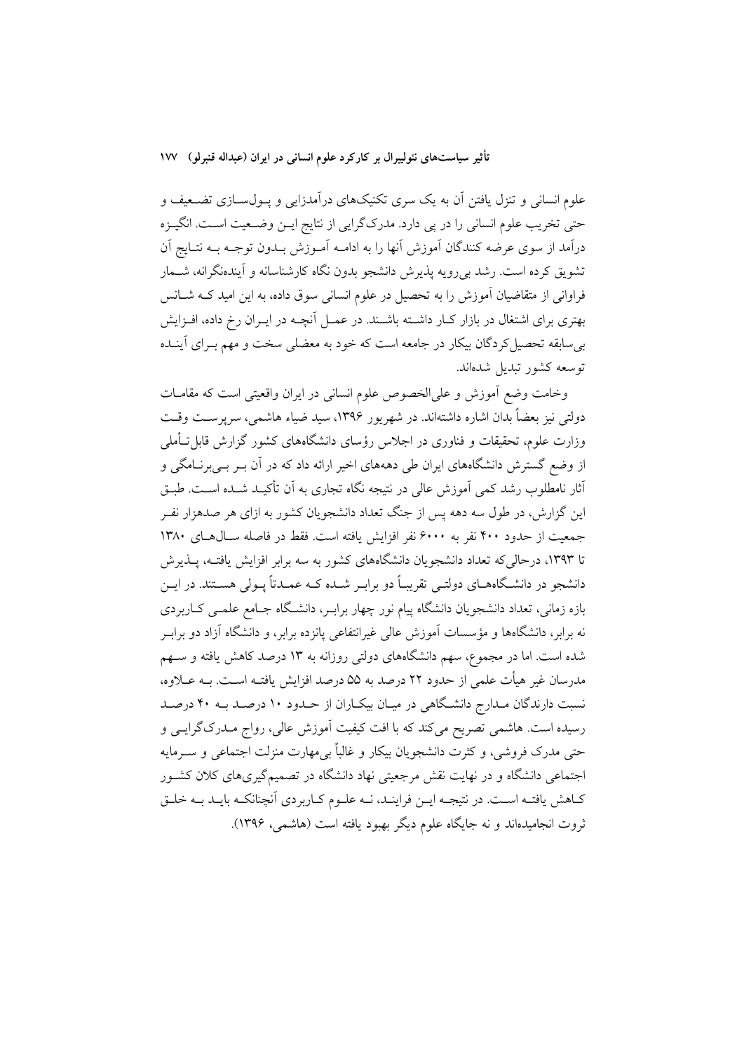علوم انسانی و تنزل یافتن آن به یک سری تکنیکهای درآمدزایی و پـولسـازی تضـعیف و حتی تخریب علوم انسانی را در پی دارد. مدرکگرایی از نتایج ایـن وضـعیت اسـت. انگیـزه درآمد از سوی عرضه کنندگان آموزش آنها را به ادامـه آمـوزش بـدون توجـه بـه نتـايج آن تشویق کرده است. رشد بی رویه پذیرش دانشجو بدون نگاه کارشناسانه و آیندهنگرانه، شــمار فراوانی از متقاضیان آموزش را به تحصیل در علوم انسانی سوق داده، به این امید کــه شــانس بهتری برای اشتغال در بازار کـار داشـته باشـند. در عمـل آنچــه در ايــران رخ داده، افــزايش بی سابقه تحصیل کردگان بیکار در جامعه است که خود به معضلی سخت و مهم بـرای آینــده توسعه كشور تبديل شدهاند.

وخامت وضع أموزش و علىالخصوص علوم انساني در ايران واقعيتي است كه مقامـات دولتي نيز يعضاً بدان اشاره داشتهاند. در شهريور ۱۳۹۶، سيد ضياء هاشمي، سريرست وقت وزارت علوم، تحقیقات و فناوری در اجلاس رؤسای دانشگاههای کشور گزارش قابل تـأملـی از وضع گسترش دانشگاههای ایران طی دهههای اخیر ارائه داد که در آن بـر بـی برنــامگی و آثار نامطلوب رشد کمی اَموزش عالی در نتیجه نگاه تجاری به اَن تأکیـد شـده اسـت. طبـق این گزارش، در طول سه دهه پس از جنگ تعداد دانشجویان کشور به ازای هر صدهزار نفـر جمعیت از حدود ۴۰۰ نفر به ۶۰۰۰ نفر افزایش یافته است. فقط در فاصله سـالهـای ۱۳۸۰ تا ۱۳۹۳، درحالی که تعداد دانشجویان دانشگاههای کشور به سه برابر افزایش یافتـه، پــذیرش دانشجو در دانشگاههـاي دولتـي تقريبـاً دو برابـر شــده كــه عمــدتاً يــولى هســتند. در ايــن بازه زمانی، تعداد دانشجویان دانشگاه پیام نور چهار برابـر، دانشـگاه جـامع علمـی کــاربردی نه برابر، دانشگاهها و مؤسسات آموزش عالمی غیرانتفاعی پانزده برابر، و دانشگاه آزاد دو برابـر شده است. اما در مجموع، سهم دانشگاههای دولتی روزانه به ۱۳ درصد کاهش یافته و سـهم مدرسان غیر هیأت علمی از حدود ۲۲ درصد به ۵۵ درصد افزایش یافتـه اسـت. بــه عــلاوه، نسبت دارندگان مـدارج دانشـگاهی در میـان بیکـاران از حـدود ۱۰ درصـد بـه ۴۰ درصـد رسیده است. هاشمی تصریح میکند که با افت کیفیت آموزش عالی، رواج مــدرک گرایــی و حتی مدرک فروشی، و کثرت دانشجویان بیکار و غالباً بی۵مارت منزلت اجتماعی و سـرمایه اجتماعی دانشگاه و در نهایت نقش مرجعیتی نهاد دانشگاه در تصمیمگیریهای کلان کشـور كـاهش يافتـه اسـت. در نتيجـه ايـن فراينـد، نـه علـوم كـاربردي آنچنانكـه بايـد بـه خلـق ثروت انجامیدهاند و نه جایگاه علوم دیگر بهبود یافته است (هاشمی، ۱۳۹۶).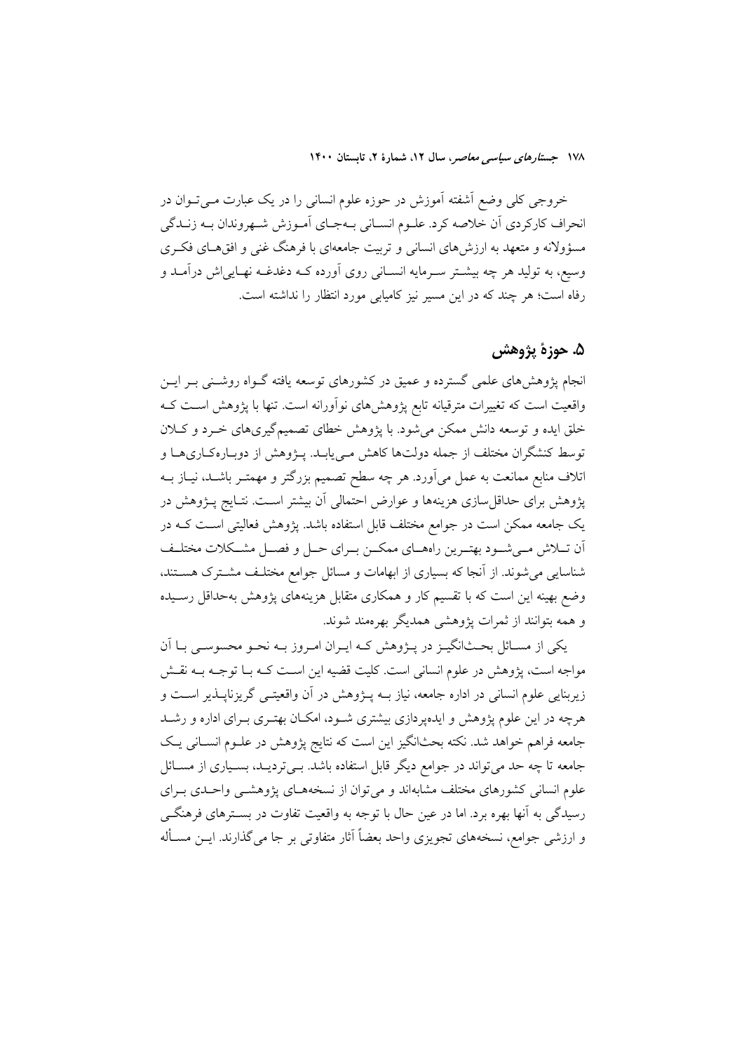خروجی کلی وضع آشفته آموزش در حوزه علوم انسانی را در یک عبارت مـیتـوان در انحراف كاركردي أن خلاصه كرد. علـوم انسـاني بـهجـاي أمـوزش شـهروندان بـه زنــدگي مسؤولانه و متعهد به ارزش۵ای انسانی و تربیت جامعهای با فرهنگ غنی و افقهای فکری وسیع، به تولید هر چه بیشـتر سـرمایه انسـانی روی آورده کـه دغدغـه نهـایییاش درآمـد و رفاه است؛ هر چند که در این مسیر نیز کامیابی مورد انتظار را نداشته است.

### ۵. حوزهٔ یژوهش

انجام پژوهشهای علمی گسترده و عمیق در کشورهای توسعه یافته گــواه روشــنی بــر ایــن واقعیت است که تغییرات مترقیانه تابع پژوهشهای نوآورانه است. تنها با پژوهش اسـت کـه خلق ایده و توسعه دانش ممکن می شود. با یژوهش خطای تصمیمگیریهای خـرد و کــلان توسط کنشگران مختلف از جمله دولتها کاهش مـیbیابـد. پــژوهش از دوبـارهکـاریهـا و اتلاف منابع ممانعت به عمل میآورد. هر چه سطح تصمیم بزرگتر و مهمتـر باشــد، نیــاز بــه پژوهش برای حداقل سازی هزینهها و عوارض احتمالی آن بیشتر اسـت. نتـایج پـژوهش در یک جامعه ممکن است در جوامع مختلف قابل استفاده باشد. پژوهش فعالیتی اسـت کـه در اّن تــلاش مــيشــود بهتــرين راههــاي ممكــن بــراي حــل و فصــل مشــكلات مختلــف شناسایی می شوند. از آنجا که بسیاری از ابهامات و مسائل جوامع مختلـف مشــترک هســتند، وضع بهینه این است که با تقسیم کار و همکاری متقابل هزینههای پژوهش بهحداقل رسـیده و همه بتوانند از ثمرات یژوهشی همدیگر بهرهمند شوند.

یکی از مسـائل بحـثانگیـز در پـژوهش کـه ایـران امـروز بـه نحـو محسوسـی بـا آن مواجه است، پژوهش در علوم انسانی است. کلیت قضیه این اسـت کـه بـا توجـه بـه نقـش زیربنایی علوم انسانی در اداره جامعه، نیاز بــه پــژوهش در آن واقعیتــی گریزنایــذیر اســت و هرچه در این علوم پژوهش و ایدهپردازی بیشتری شـود، امکـان بهتـری بـرای اداره و رشـد جامعه فراهم خواهد شد. نكته بحثانگيز اين است كه نتايج پژوهش در علـوم انســاني يـك جامعه تا چه حد می تواند در جوامع دیگر قابل استفاده باشد. بــیتردیــد، بسـیاری از مســائل علوم انسانی کشورهای مختلف مشابهاند و میتوان از نسخههـای پژوهشـی واحـدی بـرای رسیدگی به آنها بهره برد. اما در عین حال با توجه به واقعیت تفاوت در بســترهای فرهنگــی و ارزشی جوامع، نسخههای تجویزی واحد بعضاً آثار متفاوتی بر جا میگذارند. ایــن مســأله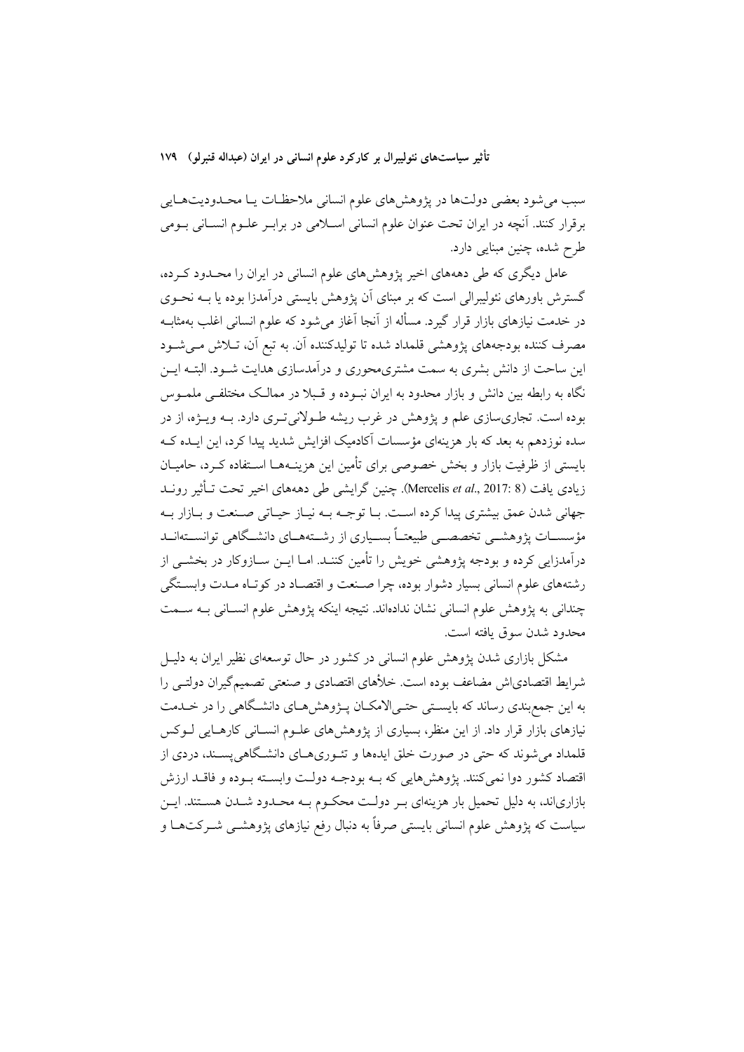سبب میشود بعضی دولتها در پژوهش های علوم انسانی ملاحظات یـا محـدودیتهـایی برقرار كنند. آنچه در ايران تحت عنوان علوم انساني اسـلامي در برابـر علـوم انسـاني بـومي طرح شده، چنین مبنایی دارد.

عامل دیگری که طی دهههای اخیر پژوهشهای علوم انسانی در ایران را محـدود کـرده، گسترش باورهای نئولیبرالی است که بر مبنای آن پژوهش بایستی درآمدزا بوده یا بــه نحــوی در خدمت نیازهای بازار قرار گیرد. مسأله از آنجا آغاز میشود که علوم انسانی اغلب بهمثابــه مصرف کننده بودجههای یژوهشی قلمداد شده تا تولیدکننده آن. به تبع آن، تــلاش مــیشــود این ساحت از دانش بشری به سمت مشتری،حوری و درآمدسازی هدایت شـود. البتـه ایــن .<br>نگاه به رابطه بین دانش و بازار محدود به ایران نبـوده و قـبلا در ممالـک مختلفـی ملمـوس بوده است. تجاری سازی علم و پژوهش در غرب ریشه طـولانی تـری دارد. بــه ویــژه، از در سده نوزدهم به بعد که بار هزینهای مؤسسات آکادمیک افزایش شدید پیدا کرد، این ایـده کــه بايستي از ظرفيت بازار و بخش خصوصي براي تأمين اين هزينــهـمــا اســتفاده كــرد، حاميــان زیادی یافت (Mercelis *et al.*, 2017: 8). چنین گرایشی طی دهههای اخیر تحت تــأثیر رونــد جهاني شدن عمق بيشتري پيدا كرده است. بـا توجــه بــه نيــاز حيــاتي صــنعت و بــازار بــه مؤسســات يژوهشــي تخصصــي طبيعتــاً بســياري از رشــتههــاي دانشــگاهي توانســتهانــد درآمدزایی کرده و بودجه پژوهشی خویش را تأمین کننــد. امــا ایــن ســازوکار در بخشــی از رشتههای علوم انسانی بسیار دشوار بوده، چرا صنعت و اقتصـاد در کوتـاه مـدت وابسـتگی چندانی به پژوهش علوم انسانی نشان ندادهاند. نتیجه اینکه پژوهش علوم انسـانی بـه سـمت محدود شدن سوق يافته است.

مشکل بازاری شدن پژوهش علوم انسانی در کشور در حال توسعهای نظیر ایران به دلیـل شرایط اقتصادیاش مضاعف بوده است. خلأهای اقتصادی و صنعتی تصمیمگیران دولتـی را به این جمع بندی رساند که بایستی حتـی|لامکـان پـژوهش هـای دانشـگاهی را در خـلـمت نیازهای بازار قرار داد. از این منظر، بسیاری از پژوهش های علـوم انســانی کارهــایی لــوکس قلمداد میشوند که حتی در صورت خلق ایدهها و تئـوریهـای دانشـگاهی پســند، دردی از .<br>اقتصاد کشور دوا نمي کنند. يژوهش هايي که بــه بودجــه دولــت وابســته بــوده و فاقــد ارزش بازاریاند، به دلیل تحمیل بار هزینهای بـر دولـت محکـوم بـه محـدود شـدن هســتند. ایــن سیاست که پژوهش علوم انسانی بایستی صرفاً به دنبال رفع نیازهای پژوهشــی شــرکتهــا و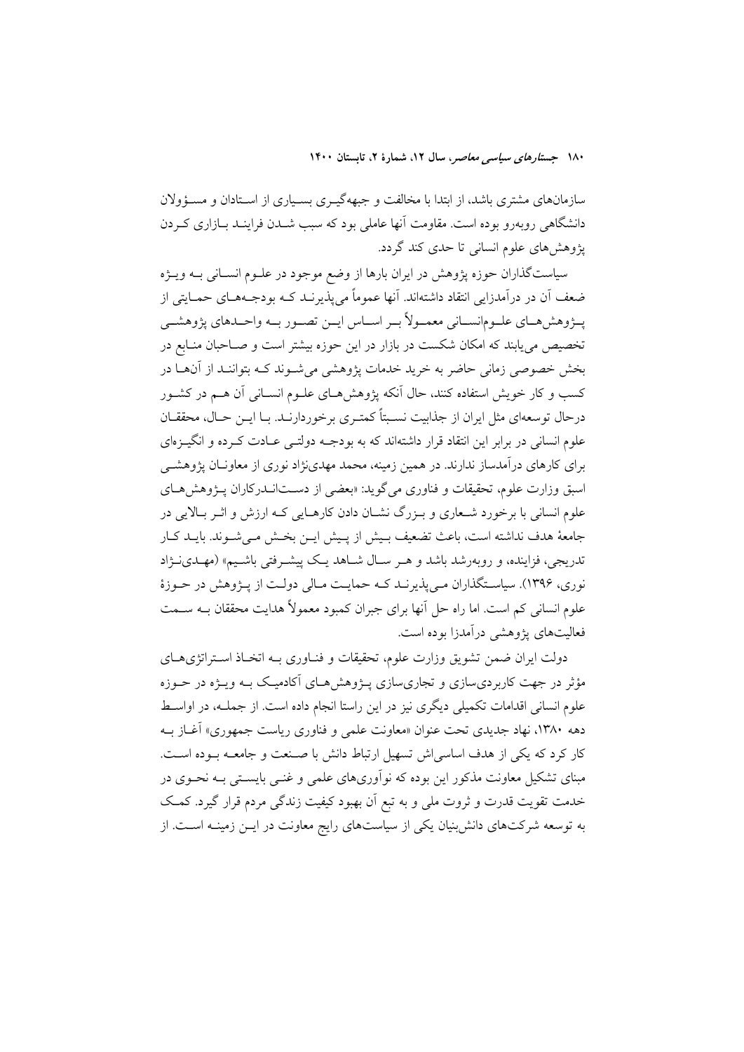سازمانهای مشتری باشد، از ابتدا با مخالفت و جبههگیـری بسـیاری از اسـتادان و مسـؤولان دانشگاهی روبهرو بوده است. مقاومت آنها عاملی بود که سبب شــدن فراینــد بــازاری کــردن پژوهشهای علوم انسانی تا حدی کند گردد.

سیاستگذاران حوزه پژوهش در ایران بارها از وضع موجود در علـوم انســانی بــه ویــژه ضعف اَن در درآمدزایی انتقاد داشتهاند. آنها عموماً می پذیرنـد کـه بودجـههـای حمـایتی از يـــزوهش هــاي علــومانســاني معمــولاً بــر اســاس ايـــن تصــور بــه واحــدهاي يزوهشـــي تخصیص می پابند که امکان شکست در بازار در این حوزه بیشتر است و صـاحبان منـابع در بخش خصوصی زمانی حاضر به خرید خدمات پژوهشی می شـوند کـه بتواننـد از آنهـا در کسب و کار خویش استفاده کنند، حال اَنکه پژوهشهای علـوم انسـانی اَن هـم در کشـور در حال توسعهای مثل ایران از جذاییت نسـیتاً کمتـری برخوردارنـد. بـا ایـن حـال، محققـان علوم انسانی در برابر این انتقاد قرار داشتهاند که به بودجـه دولتــی عــادت کــرده و انگیــزهای برای کارهای درآمدساز ندارند. در همین زمینه، محمد مهدینژاد نوری از معاونــان پژوهشــی اسبق وزارت علوم، تحقیقات و فناوری میگوید: «بعضی از دستانــدرکاران پــژوهشهــای علوم انسانی با برخورد شـعاری و بـزرگ نشــان دادن کارهــایی کــه ارزش و اثــر بــالایی در جامعهٔ هدف نداشته است، باعث تضعیف بـیش از پـیش ایـن بخـش مـیشـوند. بایــد کـار تدریجی، فزاینده، و روبهرشد باشد و هـر سـال شـاهد یـک پیشـرفتی باشـیم» (مهـدی.زاد نوري، ۱۳۹۶). سیاسـتگذاران مـیbیذیرنـد کـه حمایـت مـالی دولـت از پـژوهش در حـوزهٔ علوم انسانی کم است. اما راه حل آنها برای جبران کمبود معمولاً هدایت محققان بــه ســمت فعالیتهای پژوهشی درآمدزا بوده است.

دولت ایران ضمن تشویق وزارت علوم، تحقیقات و فنـاوری بـه اتخـاذ اسـتراتژیهـای مؤثر در جهت کاربردیسازی و تجاریسازی پـژوهشهای آکادمیک بـه ویـژه در حـوزه علوم انسانی اقدامات تکمیلی دیگری نیز در این راستا انجام داده است. از جملــه، در اواســط دهه ۱۳۸۰، نهاد جدیدی تحت عنوان «معاونت علمی و فناوری ریاست جمهوری» آغــاز بــه کار کرد که یکی از هدف اساسیاش تسهیل ارتباط دانش با صـنعت و جامعـه بــوده اســت. مبنای تشکیل معاونت مذکور این بوده که نوآوریهای علمی و غنـی بایســتی بــه نحــوی در خدمت تقویت قدرت و ثروت ملی و به تبع آن بهبود کیفیت زندگی مردم قرار گیرد. کمک به توسعه شرکتهای دانش بنیان یکی از سیاستهای رایج معاونت در ایــن زمینــه اســت. از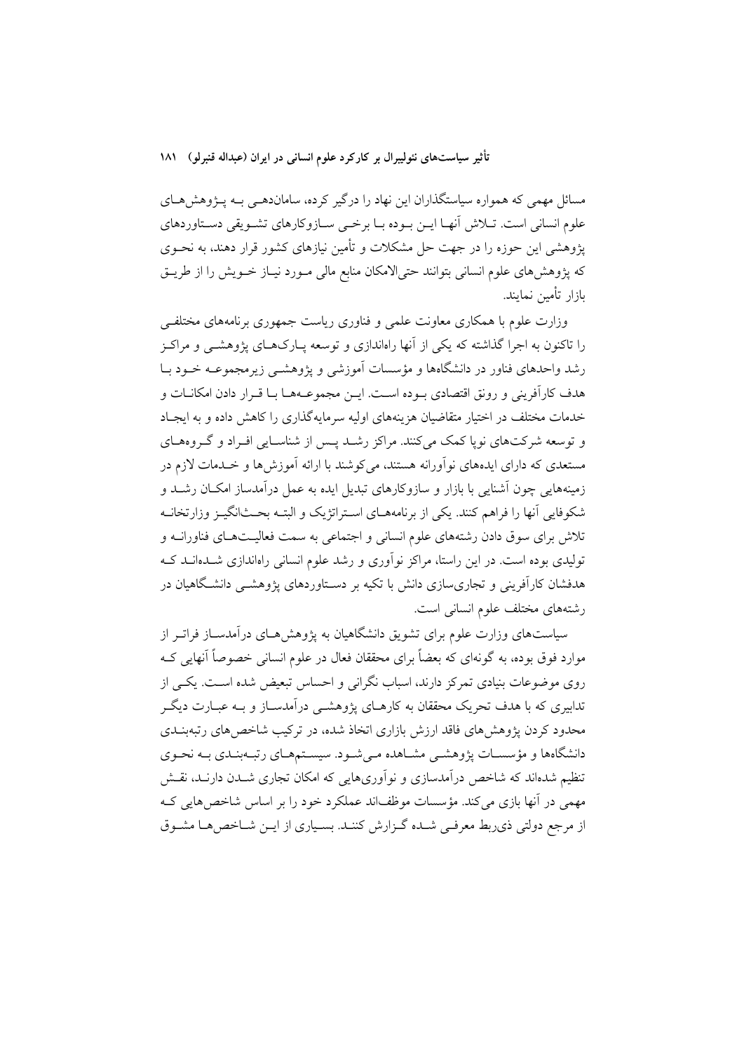مسائل مهمی که همواره سیاستگذاران این نهاد را درگیر کرده، ساماندهـی بــه پــژوهش۵حـای علوم انسانی است. تــلاش اَنهــا ایــن بــوده بــا برخــی ســازوکارهای تشــویقی دســتاوردهای یژوهشی این حوزه را در جهت حل مشکلات و تأمین نیازهای کشور قرار دهند، به نحــوی که پژوهشهای علوم انسانی بتوانند حتی|لامکان منابع مالی مـورد نیـاز خـویش را از طریـق بازار تأمين نمايند.

وزارت علوم با همکاری معاونت علمی و فناوری ریاست جمهوری برنامههای مختلفے را تاکنون به اجرا گذاشته که یکی از آنها راهاندازی و توسعه پـارکـهـای پژوهشــی و مراکـز رشد واحدهای فناور در دانشگاهها و مؤسسات آموزشی و یژوهشــی زیرمجموعــه خــود بــا هدف كارآفريني و رونق اقتصادي بـوده اسـت. ايـن مجموعـههـا بـا قـرار دادن امكانــات و خدمات مختلف در اختبار متقاضیان هزینههای اولیه سرمایهگذاری را کاهش داده و به ایجباد و توسعه شرکتهای نوپا کمک میکنند. مراکز رشـد پـس از شناسـایی افـراد و گـروههـای مستعدی که دارای ایدههای نوآورانه هستند، میکوشند با ارائه آموزش ها و خــدمات لازم در زمینههایی چون آشنایی با بازار و سازوکارهای تبدیل ایده به عمل درآمدساز امکـان رشــد و شکوفایی آنها را فراهم کنند. یکی از برنامههــای اسـتراتژیک و البتــه بحــثانگیــز وزارتخانــه تلاش برای سوق دادن رشتههای علوم انسانی و اجتماعی به سمت فعالیـتهـای فناورانــه و تولیدی بوده است. در این راستا، مراکز نوآوری و رشد علوم انسانی راهاندازی شـدهانــد کــه هدفشان کارآفرینی و تجاریسازی دانش با تکیه بر دسـتاوردهای پژوهشــی دانشـگاهیان در رشتههای مختلف علوم انسانی است.

سیاستهای وزارت علوم برای تشویق دانشگاهیان به پژوهش هـای درآمدســاز فراتــر از موارد فوق بوده، به گونهای که بعضاً برای محققان فعال در علوم انسانی خصوصاً آنهایی کـه روی موضوعات بنیادی تمرکز دارند، اسباب نگرانی و احساس تبعیض شده است. یکسی از .<br>تدابیری که با هدف تحریک محققان به کارهـای یژوهشــی درآمدســاز و بــه عبــارت دیگــر محدود کردن یژوهش های فاقد ارزش بازاری اتخاذ شده، در ترکیب شاخص های رتبهبنــدی دانشگاهها و مؤسسـات پژوهشـي مشـاهده مـيشـود. سيسـتمهـاي رتبـهبنـدي بـه نحـوي تنظیم شدهاند که شاخص درآمدسازی و نوآوریهایی که امکان تجاری شــدن دارنــد، نقــش مهمی در آنها بازی می کند. مؤسسات موظفاند عملکرد خود را بر اساس شاخص هایی ک از مرجع دولتی ذی بط معرفی شـده گـزارش کننـد. بسـیاری از ایـن شـاخص هـا مشـوق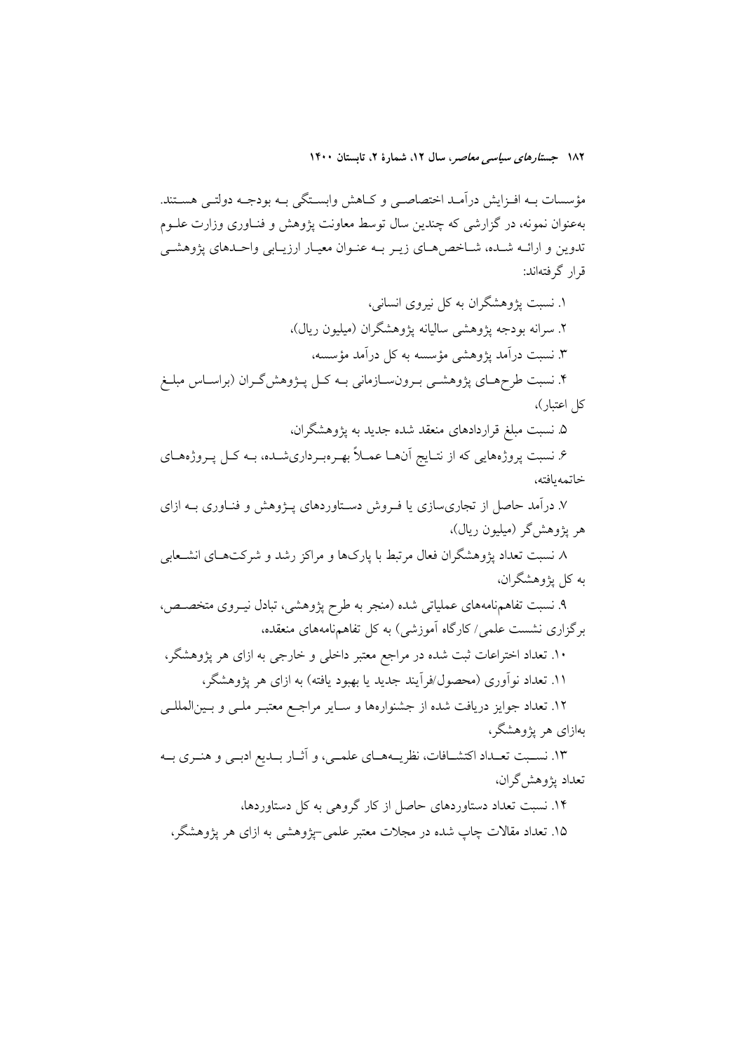مؤسسات بــه افــزايش درآمــد اختصاصــي و كــاهش وابســتگي بــه بودجــه دولتــي هســتند. بهعنوان نمونه، در گزارشی که چندین سال توسط معاونت پژوهش و فنـاوری وزارت علــوم تدوین و ارائـه شـده، شـاخص هـای زیـر بـه عنـوان معیـار ارزیـابی واحـدهای پژوهشـی قرار گرفتهاند:

۱. نسبت یژوهشگران به کل نیروی انسانی، ۲. سرانه بودجه یژوهشی سالیانه یژوهشگران (میلیون ریال)، ۳. نسبت درآمد پژوهشی مؤسسه به کل درآمد مؤسسه، ۴. نسبت طرحهـاي پژوهشـي بـرونسـازماني بــه كـل پــژوهش2ــران (براســاس مبلــغ کل اعتبار)،

۵. نسبت مبلغ قراردادهای منعقد شده جدید به یژوهشگران،

۶. نسبت پروژههایی که از نتـایج آنهــا عمــلاً بهــرهبـرداریشــده، بــه کــل پــروژههــای خاتمه بافته،

۷. درآمد حاصل از تجاریٍسازی یا فـروش دسـتاوردهای پــژوهش و فنــاوری بــه ازای هر یژوهش گر (میلیون ریال)،

۸ نسبت تعداد پژوهشگران فعال مرتبط با پارکها و مراکز رشد و شرکتهـای انشـعابی به کل پژوهشگران،

۹. نسبت تفاهمنامههای عملیاتی شده (منجر به طرح پژوهشی، تبادل نیـروی متخصـص، برگزاری نشست علمی/کارگاه آموزشی) به کل تفاهمنامههای منعقده،

۱۰. تعداد اختراعات ثبت شده در مراجع معتبر داخلی و خارجی به ازای هر پژوهشگر، ۱۱. تعداد نوآوری (محصول/فرآیند جدید یا بهبود یافته) به ازای هر پژوهشگر،

۱۲. تعداد جوايز دريافت شده از جشنوارهها و سـاير مراجـع معتبـر ملـي و بـينالمللـي بهازای هر یژوهشگر،

۱۳. نسـبت تعـداد اكتشــافات، نظريــههــاي علمــي، و آثــار بــديع ادبــي و هنــري بــه تعداد يژوهش گران،

۱۴. نسبت تعداد دستاوردهای حاصل از کار گروهی به کل دستاوردها،

۱۵. تعداد مقالات چاپ شده در مجلات معتبر علمی –یژوهشی به ازای هر یژوهشگر،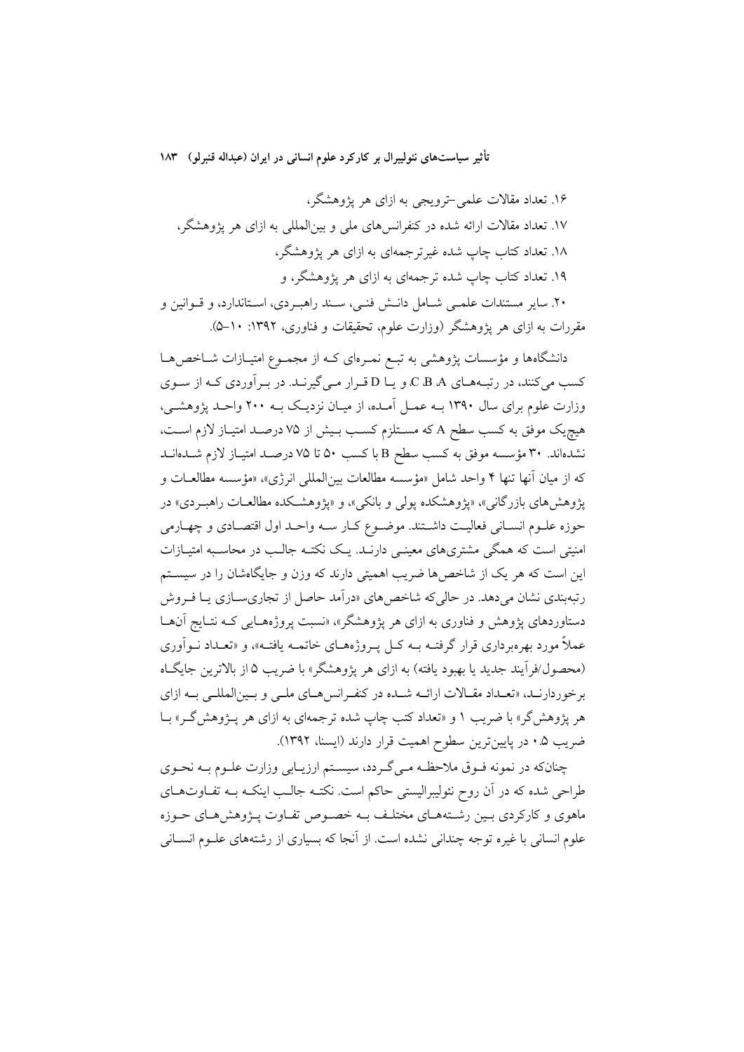۱۶. تعداد مقالات علمی-ترویجی به ازای هر پژوهشگر، ۱۷. تعداد مقالات ارائه شده در کنفرانس های ملی و بینالمللی به ازای هر یژوهشگر، ۱۸. تعداد کتاب چاپ شده غیرترجمهای به ازای هر پژوهشگر، ۱۹. تعداد کتاب چاپ شده ترجمهای به ازای هر یژوهشگر، و ۲۰. سایر مستندات علمـی شـامل دانـش فنـی، سـند راهبـردی، اسـتاندارد، و قــوانین و مقررات به ازای هر یژوهشگر (وزارت علوم، تحقیقات و فناوری، ۱۳۹۲: ۱۰-۵).

دانشگاهها و مؤسسات پژوهشی به تبـع نمـرهای کـه از مجمـوع امتیـازات شــاخصهـا کسب میکنند، در رتب های C B A، و یا D قرار میگیرنـد. در بـرآوردی کـه از سـوی وزارت علوم برای سال ۱۳۹۰ بــه عمــل آمــده، از میــان نزدیــک بــه ۲۰۰ واحــد پژوهشــی، هیچیک موفق به کسب سطح A که مسـتلزم کسـب بـیش از ۷۵ درصـد امتیـاز لازم اسـت، نشدهاند. ٣٠ مؤسسه موفق به كسب سطح B باكسب ٥٠ تا ٧۵ درصـد امتيـاز لازم شــدهانــد كه از ميان آنها تنها ۴ واحد شامل «مؤسسه مطالعات بينالمللي انرژي»، «مؤسسه مطالعـات و یژوهش های بازرگانی»، «یژوهشکده یولی و بانکی»، و «یژوهشـکده مطالعـات راهبـردی» در حوزه علـوم انسـاني فعاليـت داشـتند. موضـوع كـار سـه واحـد اول اقتصـادي و چهـارمي امنیتی است که همگی مشتریهای معینـی دارنـد. یـک نکتـه جالـب در محاسـبه امتیـازات این است که هر یک از شاخصها ضریب اهمیتی دارند که وزن و جایگاهشان را در سیستم رتبهبندی نشان می دهد. در حالی که شاخص های «درآمد حاصل از تجاری سـازی یـا فـروش دستاوردهای پژوهش و فناوری به ازای هر پژوهشگر»، «نسبت پروژههـایی کـه نتـایج آنهـا عملاً مورد بهرهبرداری قرار گرفتــه بــه کــل پــروژههــای خاتمــه یافتــه»، و «تعــداد نــواَوری (محصول/فرآيند جديد يا بهبود يافته) به ازاي هر پژوهشگر» با ضريب ۵ از بالاترين جايگـاه برخوردارنـد، «تعـداد مقـالات ارائــه شــده در كنفـرانس هــاي ملــي و بــينالمللــي بــه ازاي هر یژوهش گر» با ضریب ۱ و «تعداد کتب چاپ شده ترجمهای به ازای هر پـژوهش گـر» بــا ضريب ۰.۵ در پايينترين سطوح اهميت قرار دارند (ايسنا، ۱۳۹۲).

چنانکه در نمونه فـوق ملاحظـه مـي گـردد، سيسـتم ارزيـابي وزارت علـوم بـه نحـوي طراحی شده که در آن روح نئولیبرالیستی حاکم است. نکتـه جالـب اینکـه بـه تفـاوتهـای ماهوی و کارکردی بسین رشتههبای مختلف بـه خصـوص تفـاوت پـژوهش هـای حـوزه علوم انسانی با غیره توجه چندانی نشده است. از آنجا که بسیاری از رشتههای علـوم انســانی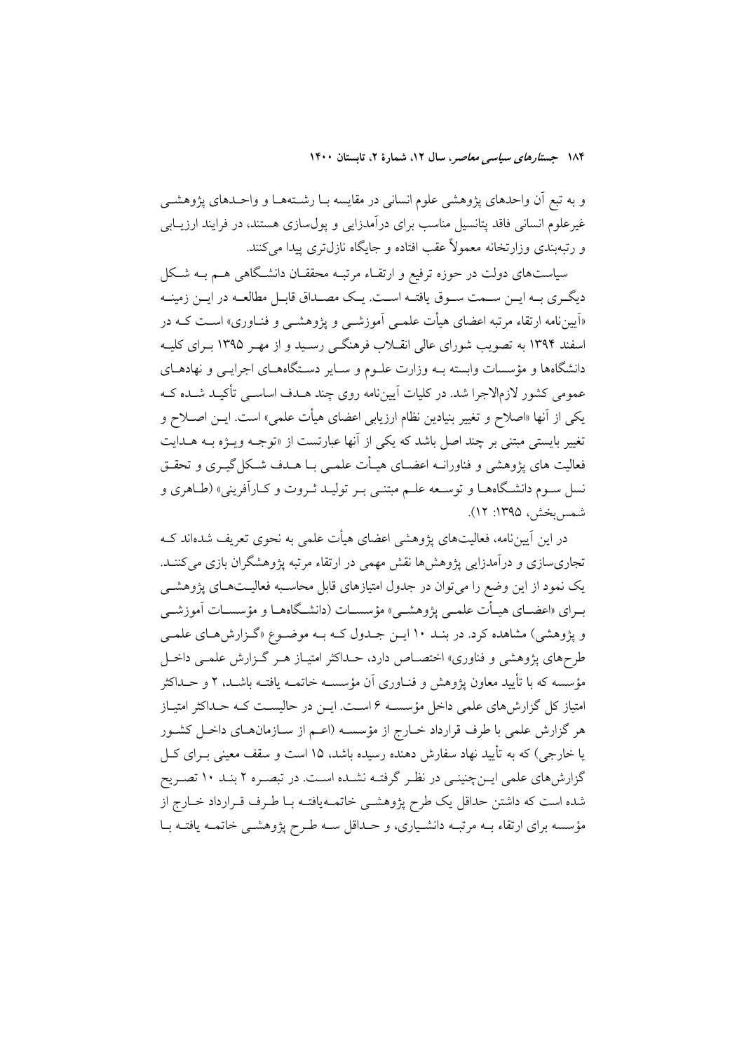و به تبع آن واحدهای پژوهشی علوم انسانی در مقایسه بـا رشـتههـا و واحـدهای پژوهشــی غیرعلوم انسانی فاقد یتانسیل مناسب برای درآمدزایی و یول سازی هستند، در فرایند ارزیــابی و رتبهبندی وزارتخانه معمولاً عقب افتاده و جایگاه نازل تری پیدا می کنند.

سیاستهای دولت در حوزه ترفیع و ارتقـاء مرتبـه محققـان دانشـگاهی هــم بــه شـكل دیگـری بــه ایــن ســمت ســوق یافتــه اســت. یــک مصــداق قابــل مطالعــه در ایــن زمینــه «اَپیننامه ارتقاء مرتبه اعضای هیأت علمـی اَموزشـی و یژوهشـی و فنــاوری» اسـت کــه در اسفند ۱۳۹۴ به تصویب شورای عالی انقــلاب فرهنگــی رســید و از مهــر ۱۳۹۵ بــرای کلیــه دانشگاهها و مؤسسات وابسته بـه وزارت علـوم و سـایر دسـتگاههـای اجرایـی و نهادهـای عمومی کشور لازمالاجرا شد. در کلیات آییننامه روی چند هـدف اساســی تأکیــد شــده کــه یکی از آنها «اصلاح و تغییر بنیادین نظام ارزیابی اعضای هیأت علمی» است. ایــن اصــلاح و تغییر بایستی مبتنی بر چند اصل باشد که یکی از آنها عبارتست از «توجـه ویــژه بــه هــدایت فعالیت های پژوهشی و فناورانــه اعضــای هیــأت علمــی بــا هــدف شــکل گیــری و تحقــق .<br>نسل سـوم دانشـگاههـا و توسـعه علـم مبتنـي بـر توليـد ثـروت و كـارآفريني» (طـاهري و شمس بخش، ۱۳۹۵: ۱۲).

در این آییننامه، فعالیتهای یژوهشی اعضای هیأت علمی به نحوی تعریف شدهاند کـه تجاریسازی و درآمدزایی پژوهشها نقش مهمی در ارتقاء مرتبه پژوهشگران بازی می کننـد. یک نمود از این وضع را می توان در جدول امتیازهای قابل محاسـبه فعالیـتهـای یژوهشــی بــراي «اعضــاي هيــأت علمــي پژوهشــي» مؤسســات (دانشــگاههــا و مؤسســات آموزشــي و پژوهشی) مشاهده کرد. در بنـد ۱۰ ایـن جـدول کـه بـه موضـوع «گـزارش هـای علمـی طرحهای پژوهشی و فناوری» اختصـاص دارد، حـداکثر امتیـاز هـر گـزارش علمـی داخـل مؤسسه که با تأیید معاون یژوهش و فنــاوری آن مؤسســه خاتمــه یافتــه باشــد، ۲ و حــداکثر امتیاز کل گزارش های علمی داخل مؤسسـه ۶ اسـت. ایــن در حالیســت کــه حــداکثر امتیــاز هر گزارش علمی با طرف قرارداد خبارج از مؤسسه (اعـم از سـازمانهـای داخـل کشـور یا خارجی) که به تأیید نهاد سفارش دهنده رسیده باشد، ۱۵ است و سقف معینی بــرای کــل گزارشهای علمی ایــنچنینـی در نظـر گرفتـه نشــده اسـت. در تبصـره ۲ بنـد ۱۰ تصـریح شده است که داشتن حداقل یک طرح پژوهشـی خاتمـهیافتـه بـا طـرف قـرارداد خـارج از مؤسسه برای ارتقاء بــه مرتبــه دانشـياري، و حــداقل ســه طــرح پژوهشــي خاتمــه يافتــه بــا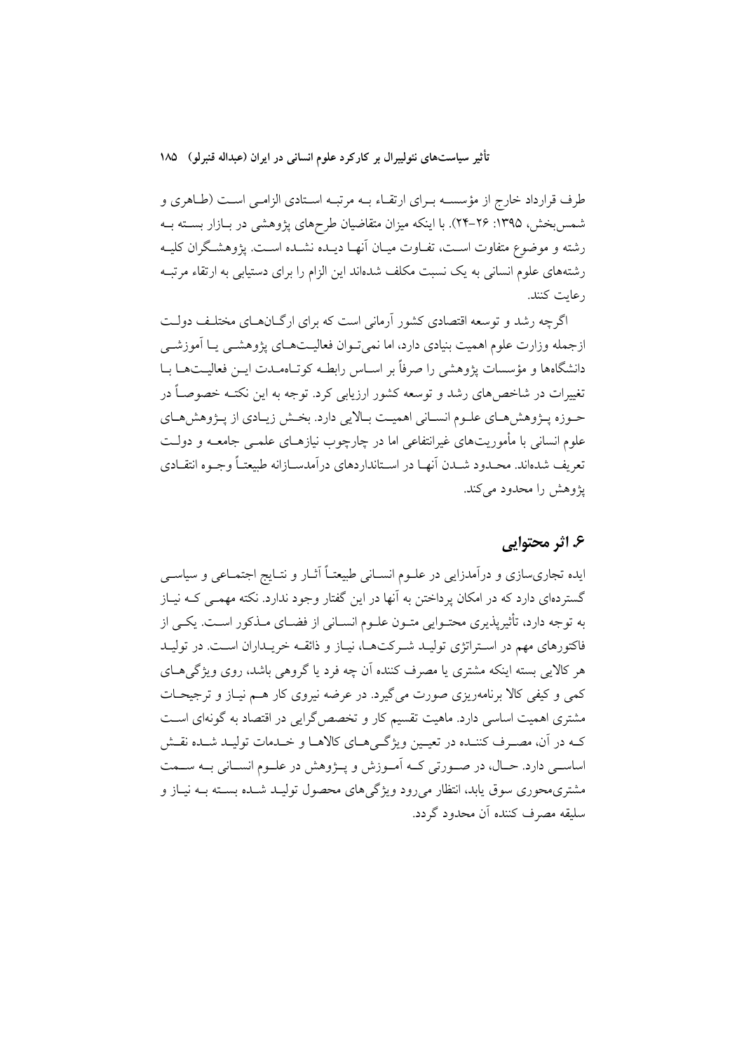طرف قرارداد خارج از مؤسسـه بـراي ارتقـاء بـه مرتبـه اسـتادي الزامـي اسـت (طـاهري و شمس بخش، ۱۳۹۵: ۲۶-۲۴). با اینکه میزان متقاضیان طرحهای پژوهشی در بــازار بســته بــه رشته و موضوع متفاوت اسـت، تفـاوت ميـان أنهـا ديـده نشـده اسـت. پژوهشـگران كليـه رشتههای علوم انسانی به یک نسبت مکلف شدهاند این الزام را برای دستیابی به ارتقاء مرتبـه , عايت كنند.

اگرچه رشد و توسعه اقتصادی کشور آرمانی است که برای ارگــانهــای مختلـف دولــت ازجمله وزارت علوم اهميت بنيادي دارد، اما نمي تـوان فعاليـتهـاي يؤوهشـي يـا آموزشـي دانشگاهها و مؤسسات یژوهشی را صرفاً بر اسـاس رابطـه کوتـاهمـدت ایــن فعالیــتهــا بــا تغییرات در شاخص های رشد و توسعه کشور ارزیابی کرد. توجه به این نکتـه خصوصـاً در حبوزه پیژوهش هیای علیوم انسپانی اهمیت سالایی دارد. بخش زیبادی از پیژوهش هیای علوم انسانی با مأموریتهای غیرانتفاعی اما در چارچوب نیازهــای علمــی جامعــه و دولــت تعريف شدهاند. محـدود شــدن أنهـا در اســتانداردهاي درأمدســازانه طبيعتــأ وجـوه انتقــادي یژوهش را محدود مے کند.

### ع. اثر محتوابي

ایده تجاری سازی و درآمدزایی در علــوم انســانی طبیعتــاً آثــار و نتــایج اجتمــاعی و سیاســی گستردمای دارد که در امکان برداختن به آنها در این گفتار وجود ندارد. نکته مهمــی کــه نیــاز به توجه دارد، تأثیرپذیری محتـوایی متـون علـوم انسـانی از فضـای مـذکور اسـت. یکـی از فاکتورهای مهم در اسـتراتژی تولیـد شـرکتهـا، نیـاز و ذائقـه خریـداران اسـت. در تولیـد هر كالايي بسته اينكه مشتري يا مصرف كننده أن چه فرد يا گروهي باشد، روى ويژگى هـاي کمی و کیفی کالا برنامهریزی صورت می گیرد. در عرضه نیروی کار هـم نیـاز و ترجیحـات مشتری اهمیت اساسی دارد. ماهیت تقسیم کار و تخصص گرایی در اقتصاد به گونهای است کـه در آن، مصـرف کننـده در تعيـين ويژگـيهـاي کالاهـا و خـدمات توليـد شـده نقـش اساســي دارد. حــال، در صــورتي کــه اَمــوزش و پــژوهش در علــوم انســاني بــه ســمت مشتری،محوری سوق یابد، انتظار میررود ویژگیهای محصول تولیـد شـده بسـته بــه نیـاز و سلىقە مصرف كننده أن محدود گردد.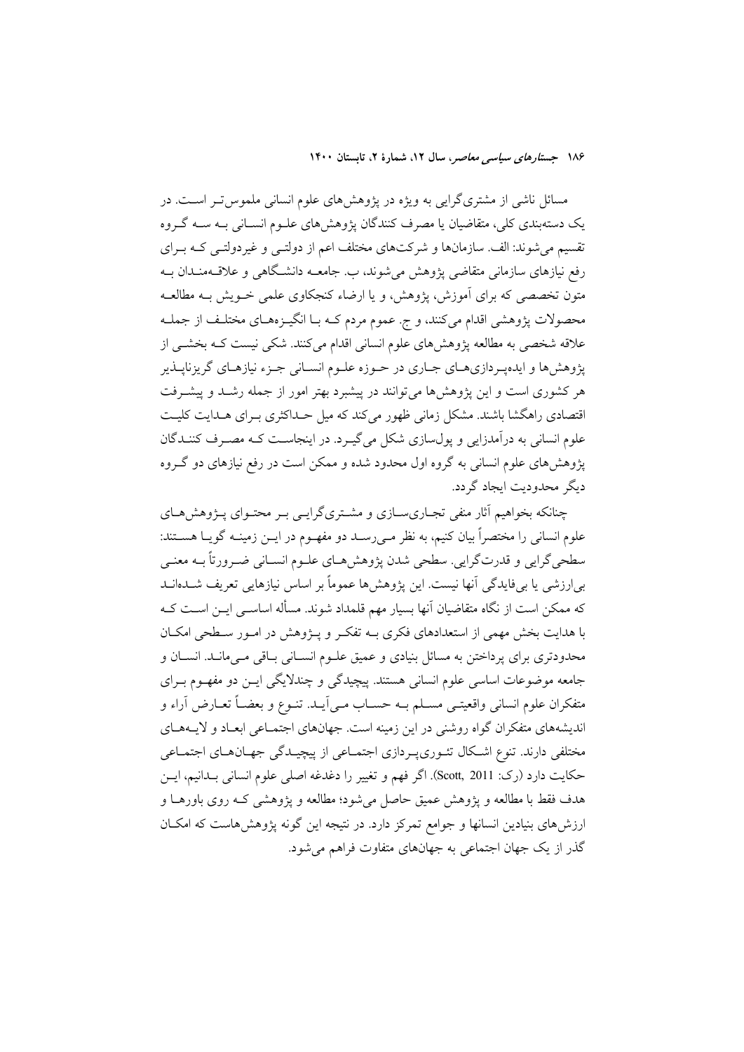مسائل ناشی از مشتریگرایی به ویژه در پژوهشهای علوم انسانی ملموس تـر اسـت. در یک دستهبندی کلی، متقاضیان یا مصرف کنندگان یژوهشهای علـوم انسـانی بـه سـه گـروه تقسیم میشوند: الف سازمانها و شرکتهای مختلف اعم از دولتـی و غیردولتـی کـه بـرای رفع نیازهای سازمانی متقاضی پژوهش می شوند، ب. جامعـه دانشـگاهی و علاقــهمنـدان بــه متون تخصصی که برای آموزش، پژوهش، و یا ارضاء کنجکاوی علمی خــویش بــه مطالعــه محصولات پژوهشی اقدام میکنند، و ج. عموم مردم کـه بـا انگیــزههـای مختلـف از جملـه علاقه شخصی به مطالعه پژوهش،های علوم انسانی اقدام میکنند. شکی نیست کـه بخشــی از پژوهش ها و ایدهپردازیهـای جـاری در حـوزه علـوم انسـانی جـزء نیازهـای گریزناپــذیر هر کشوری است و این پژوهشها میتوانند در پیشبرد بهتر امور از جمله رشـد و پیشـرفت اقتصادی راهگشا باشند. مشکل زمانی ظهور می کند که میل حـداکثری بـرای هـدایت کلیـت علوم انسانی به درآمدزایی و یول سازی شکل می گیـرد. در اینجاسـت کـه مصـرف کننــدگان یژوهش های علوم انسانی به گروه اول محدود شده و ممکن است در رفع نیازهای دو گـروه دیگر محدودیت ایجاد گردد.

چنانکه بخواهیم آثار منفی تجـاریســازی و مشــتریگرایــی بــر محتــوای پــژوهش۵حـای علوم انسانی را مختصراً بیان کنیم، به نظر مـیرسـد دو مفهــوم در ایــن زمینــه گویــا هســتند: سطحي گرايي و قدرت گرايي. سطحي شدن پژوهش هـاي علـوم انسـاني ضـرورتاً بـه معنـي بی|رزشی یا بیفایدگی آنها نیست. این پژوهشها عموماً بر اساس نیازهایی تعریف شــدهانــد که ممکن است از نگاه متقاضیان آنها بسیار مهم قلمداد شوند. مسأله اساســی ایــن اســت کــه با هدایت بخش مهمی از استعدادهای فکری بـه تفکـر و پـژوهش در امـور سـطحی امکـان محدودتری برای پرداختن به مسائل بنیادی و عمیق علـوم انسـانی بـاقی مـیمانـد. انسـان و جامعه موضوعات اساسی علوم انسانی هستند. پیچیدگی و چندلایگی ایـن دو مفهـوم بـرای متفكران علوم انسانى واقعيتــى مســلم بــه حســاب مــىآيــد. تنــوع و بعضــاً تعــارض آراء و اندیشههای متفکران گواه روشنی در این زمینه است. جهانهای اجتمـاعی ابعـاد و لایـههـای مختلفی دارند. تنوع اشکال تئـوريپـردازي اجتمـاعی از پيچيـدگی جهـانهـاي اجتمـاعی حكايت دارد (رك: Scott, 2011). اگر فهم و تغيير را دغدغه اصلي علوم انساني بــدانيم، ايــن هدف فقط با مطالعه و يژوهش عميق حاصل مي شود؛ مطالعه و يژوهشي كـه روى باورهــا و ارزش۵های بنیادین انسانها و جوامع تمرکز دارد. در نتیجه این گونه پژوهش۵ماست که امکـان گذر از یک جهان اجتماعی به جهانهای متفاوت فراهم می شود.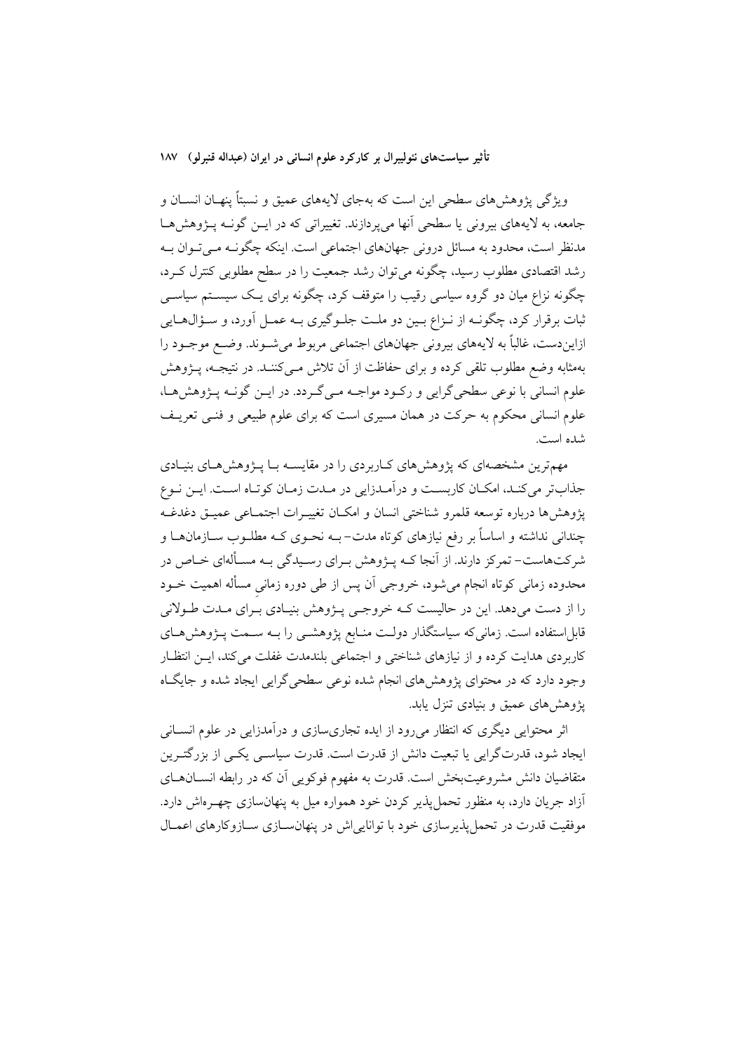ویژگی پژوهشهای سطحی این است که بهجای لایههای عمیق و نسبتاً پنهـان انســان و جامعه، به لایههای بیرونی یا سطحی آنها می پردازند. تغییراتی که در ایــن گونــه پــژوهشهــا مدنظر است، محدود به مسائل درونی جهانهای اجتماعی است. اینکه چگونـه مـی تـوان بـه رشد اقتصادی مطلوب رسید، چگونه میٍتوان رشد جمعیت را در سطح مطلوبی کنترل کـرد، چگونه نزاع میان دو گروه سیاسی رقیب را متوقف کرد، چگونه برای یـک سیســتم سیاســی ثبات برقرار كرد، چگونــه از نــزاع بــين دو ملــت جلــوگيري بــه عمــل أورد، و ســؤال&ــايي ازایندست، غالباً به لایههای بیرونی جهانهای اجتماعی مربوط میشـوند. وضـع موجـود را بهمثابه وضع مطلوب تلقى كرده و براى حفاظت از آن تلاش مــىكننــد. در نتيجــه، پـــژوهش علوم انسانی با نوعی سطحیگرایی و رکـود مواجـه مـیگـردد. در ایــن گونــه پــژوهش هــا، علوم انسانی محکوم به حرکت در همان مسیری است که برای علوم طبیعی و فنــی تعریــف شده است.

مهمترین مشخصهای که پژوهش های کـاربردی را در مقایســه بــا پــژوهش هــای بنیــادی جذابتر می كنـد، امكـان كاربسـت و درآمـدزايي در مـدت زمـان كوتـاه اسـت. ايـن نـوع يژوهش ها درباره توسعه قلمرو شناختي انسان و امكــان تغييــرات اجتمــاعي عميــق دغدغــه چندانی نداشته و اساساً بر رفع نیازهای کوتاه مدت– بــه نحــوی کــه مطلــوب ســازمان۱هــا و شرکتهاست- تمرکز دارند. از آنجا کـه پــژوهش بــراي رسـيدگي بــه مسـألهاي خـاص در محدوده زمانی کوتاه انجام میشود، خروجی اَن پس از طی دوره زمانی مسأله اهمیت خــود را از دست میدهد. این در حالیست کـه خروجـی پـژوهش بنیـادی بـرای مـدت طـولانی قابل|ستفاده است. زمانیکه سیاستگذار دولـت منـابع پژوهشــی را بــه ســمت پــژوهش۵حـای کاربردی هدایت کرده و از نیازهای شناختی و اجتماعی بلندمدت غفلت می کند، ایــن انتظـار وجود دارد که در محتوای پژوهشهای انجام شده نوعی سطحی گرایی ایجاد شده و جایگاه یژوهش های عمیق و بنیادی تنزل یابد.

اثر محتوایی دیگری که انتظار میررود از ایده تجاریسازی و درآمدزایی در علوم انســانی ایجاد شود، قدرتگرایی یا تبعیت دانش از قدرت است. قدرت سیاسـی یکـی از بزرگتـرین متقاضیان دانش مشروعیتبخش است. قدرت به مفهوم فوکویی آن که در رابطه انســانهــای ۔<br>آزاد جریان دارد، به منظور تحمل پذیر کردن خود همواره میل به پنهانسازی چهـرماش دارد. موفقیت قدرت در تحمل پذیرسازی خود با توانایی اش در پنهانســازی ســازوکارهای اعمــال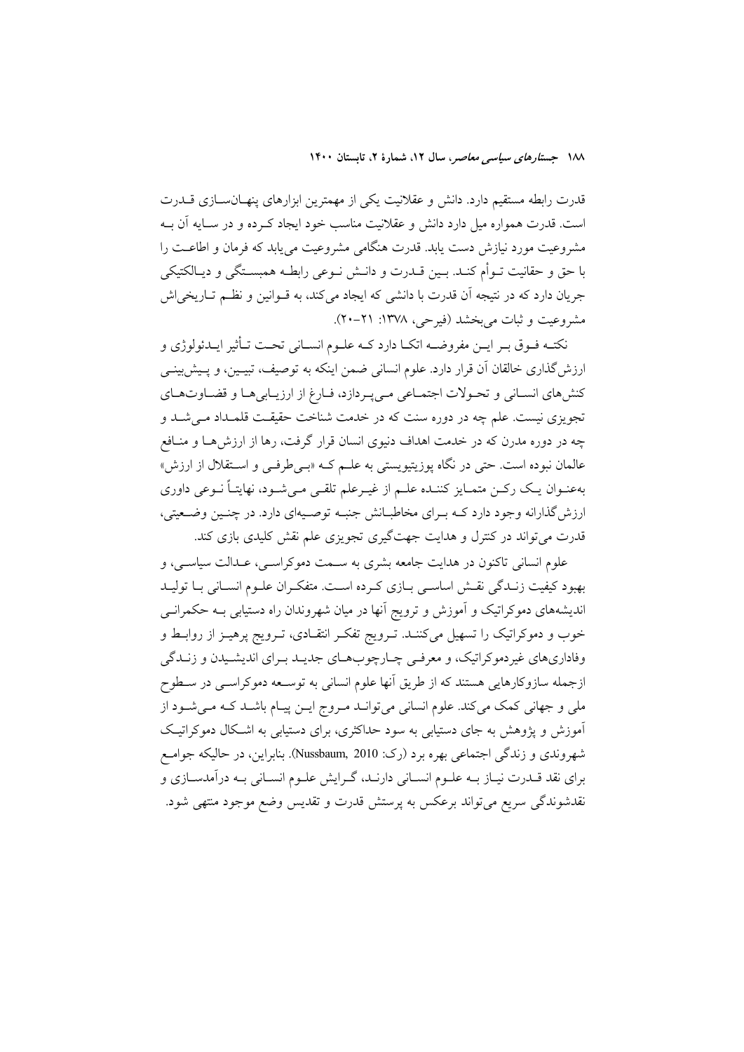قدرت رابطه مستقیم دارد. دانش و عقلانیت یکی از مهمترین ابزارهای پنهـانسـازی قــدرت است. قدرت همواره میل دارد دانش و عقلانیت مناسب خود ایجاد کـرده و در سـایه آن بـه مشروعیت مورد نیازش دست یابد. قدرت هنگامی مشروعیت مییابد که فرمان و اطاعـت را با حق و حقانيت تــوأم كنــد. بــين قــدرت و دانــش نــوعي رابطــه همبســتگـي و ديــالكتيكـي جريان دارد كه در نتيجه آن قدرت با دانشي كه ايجاد مي كند، به قــوانين و نظــم تــاريخي|ش مشروعيت و ثبات مي بخشد (فيرحي، ١٣٧٨: ٢١-٢٠).

نکتـه فـوق بـر ايـن مفروضــه اتکـا دارد کــه علـوم انســاني تحــت تـأثير ايــدئولوژي و ارزش گذاری خالقان آن قرار دارد. علوم انسانی ضمن اینکه به توصیف، تبیـین، و پـیشبینـی كنش هاي انسـاني و تحـولات اجتمـاعي مـي يـردازد، فـارغ از ارزيـابي هـا و قضـاوتهـاي تجویزی نیست. علم چه در دوره سنت که در خدمت شناخت حقیقـت قلمـداد مـی شـد و چه در دوره مدرن که در خدمت اهداف دنیوی انسان قرار گرفت، رها از ارزشها و منـافع عالمان نبوده است. حتی در نگاه پوزیتیویستی به علـم کـه «بـیطرفـی و اسـتقلال از ارزش» بهعنـوان يـك ركــن متمــايز كننــده علــم از غيــرعلم تلقــى مــىشــود، نهايتــاً نــوعى داورى ارزش گذارانه وجود دارد کـه بـرای مخاطبـانش جنبـه توصـيهای دارد. در چنـين وضـعيتي، قدرت می تواند در کنترل و هدایت جهت گیری تجویزی علم نقش کلیدی بازی کند.

علوم انسانی تاکنون در هدایت جامعه بشری به سـمت دموکراسـی، عـدالت سیاسـی، و بهبود كيفيت زنـدگي نقــش اساســي بــازي كــرده اســت. متفكــران علــوم انســاني بــا توليــد اندیشههای دموکراتیک و آموزش و ترویج آنها در میان شهروندان راه دستیابی بــه حکمرانــی خوب و دموکراتیک را تسهیل میکننـد. تـرویج تفکـر انتقـادی، تـرویج پرهیـز از روابـط و وفاداریهای غیردموکراتیک، و معرفی چـارچوبهـای جدیـد بـرای اندیشـیدن و زنـدگی ازجمله سازوکارهایی هستند که از طریق آنها علوم انسانی به توسـعه دموکراسـی در سـطوح ملی و جهانی کمک میکند. علوم انسانی میتوانـد مـروج ایـن پیـام باشـد کـه مـیشـود از آموزش و یژوهش به جای دستیابی به سود حداکثری، برای دستیابی به اشکال دموکراتیک شهروندي و زندگي اجتماعي بهره برد (رک: Nussbaum, 2010). بنابراين، در حاليکه جوامع برای نقد قـدرت نيـاز بــه علــوم انســاني دارنــد، گــرايش علــوم انســاني بــه درآمدســازي و نقدشوندگی سریع میتواند برعکس به پرستش قدرت و تقدیس وضع موجود منتهی شود.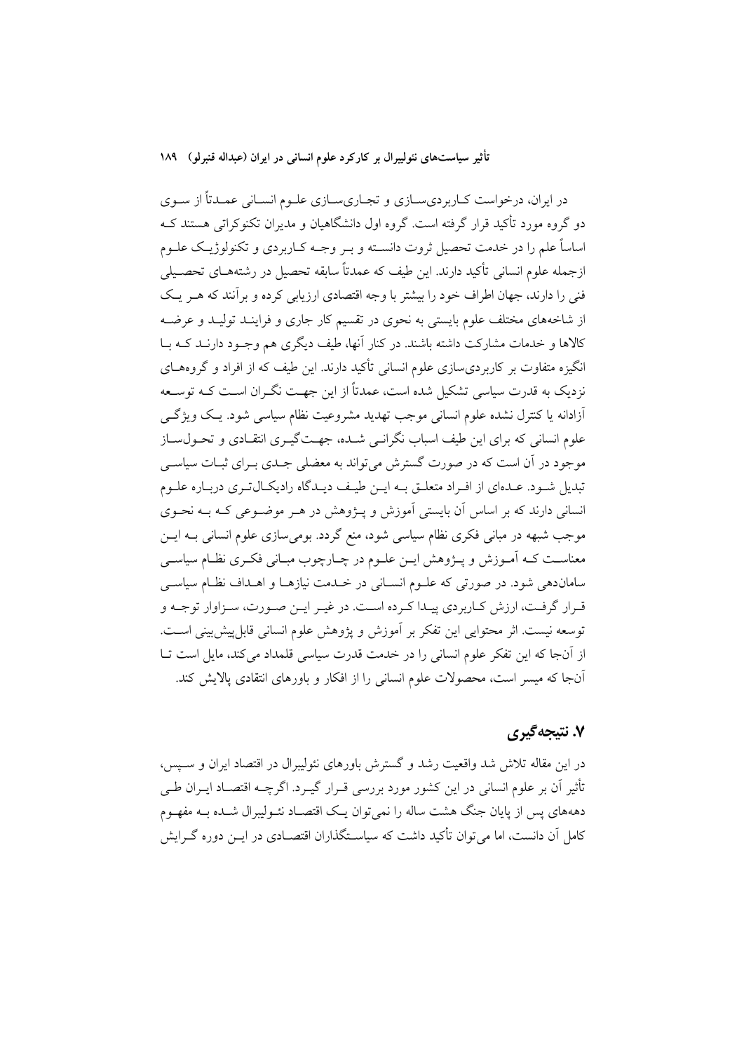در ایران، درخواست کـاربرديسـازي و تجـاريسـازي علـوم انسـاني عمـدتاً از سـوي دو گروه مورد تأکید قرار گرفته است. گروه اول دانشگاهیان و مدیران تکنوکراتی هستند کـه اساساً علم را در خدمت تحصیل ثروت دانسـته و بــر وجــه کــاربردی و تکنولوژیــک علــوم ازجمله علوم انسانی تأکید دارند. این طیف که عمدتاً سابقه تحصیل در رشتههـای تحصـیلی فنی را دارند، جهان اطراف خود را بیشتر با وجه اقتصادی ارزیابی کرده و بر آنند که هـر یـک از شاخههای مختلف علوم بایستی به نحوی در تقسیم کار جاری و فراینـد تولیـد و عرضـه کالاها و خدمات مشارکت داشته باشند. در کنار آنها، طیف دیگری هم وجـود دارنــد کــه بــا انگیزه متفاوت بر کاربردی سازی علوم انسانی تأکید دارند. این طیف که از افراد و گروههای نزدیک به قدرت سیاسی تشکیل شده است، عمدتاً از این جهت نگـران اسـت کـه توسـعه ۔<br>آزادانه یا کنترل نشده علوم انسانی موجب تھدید مشروعیت نظام سیاسی شود. یک ویژگے علوم انسانی که برای این طیف اسباب نگرانسی شــده، جهــت\$یــری انتقــادی و تحــول۳سـاز موجود در اَن است که در صورت گسترش می تواند به معضلی جـدی بـرای ثبـات سیاســی تبدیل شـود. عـدهای از افـراد متعلـق بـه ایـن طیـف دیـدگاه رادیکـال5تـری دریـاره علـوم انسانی دارند که بر اساس آن بایستی آموزش و پـژوهش در هـر موضـوعی کـه بـه نحـوی موجب شبهه در مبانی فکری نظام سیاسی شود، منع گردد. بومیسازی علوم انسانی بــه ایــن معناست کـه اَمـوزش و پــژوهش ایــن علــوم در چــارچوب مبــانی فکــری نظــام سیاســی ساماندهی شود. در صورتی که علـوم انسـانی در خـدمت نیازهـا و اهـداف نظـام سیاســی قـرار گرفـت، ارزش كـاربردي پيـدا كـرده اسـت. در غيـر ايـن صـورت، سـزاوار توجـه و توسعه نيست. اثر محتوايي اين تفكر بر آموزش و يژوهش علوم انساني قابل پيش بيني است. از آنجا که این تفکر علوم انسانی را در خدمت قدرت سیاسی قلمداد می کند، مایل است تــا آنجا که میسر است، محصولات علوم انسانی را از افکار و باورهای انتقادی یالایش کند.

## ۷. نتیجهگیری

در این مقاله تلاش شد واقعیت رشد و گسترش باورهای نئولیبرال در اقتصاد ایران و سـپس، تأثیر آن بر علوم انسانی در این کشور مورد بررسی قـرار گیـرد. اگرچــه اقتصــاد ایــران طــی دهههای پس از پایان جنگ هشت ساله را نمی توان یـک اقتصـاد نئــولیبرال شــده بــه مفهــوم کامل آن دانست، اما می توان تأکید داشت که سیاسـتگذاران اقتصــادی در ایــن دوره گــرایش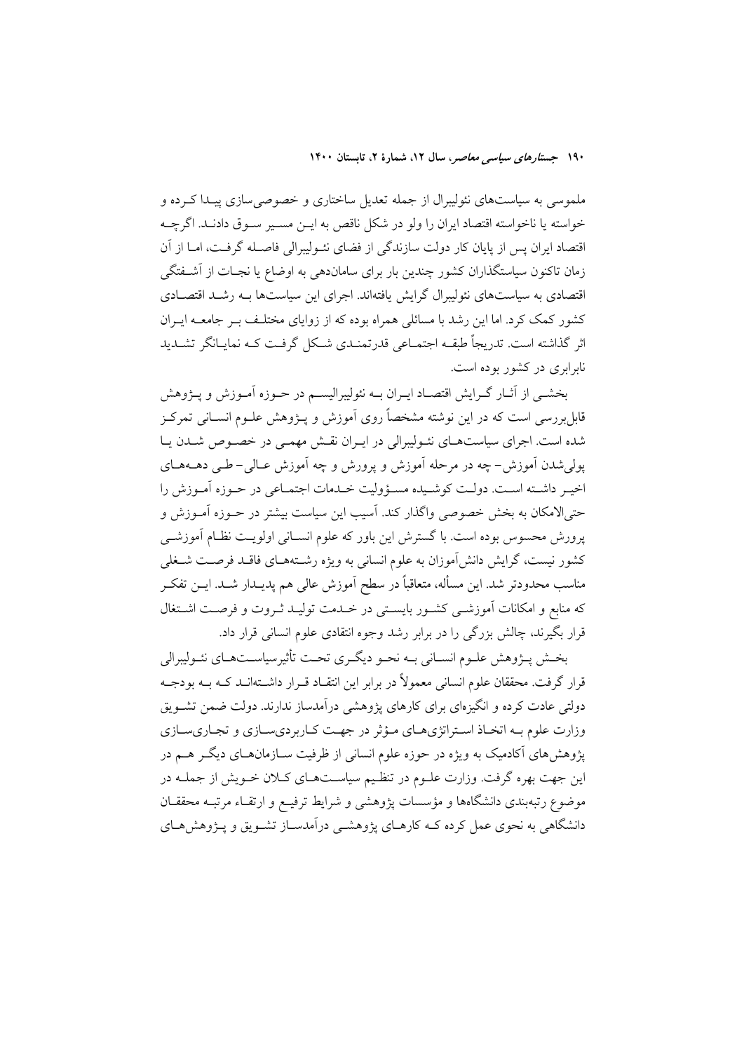ملموسی به سیاستهای نئولیبرال از جمله تعدیل ساختاری و خصوصی سازی پیـدا کـرده و خواسته يا ناخواسته اقتصاد ايران را ولو در شكل ناقص به ايــن مســير ســوق دادنــد. اگرچــه اقتصاد ایران پس از پایان کار دولت سازندگی از فضای نئـولیبرالی فاصـله گرفـت، امـا از آن زمان تاکنون سیاستگذاران کشور چندین بار برای ساماندهی به اوضاع یا نجـات از آشــفتگی اقتصادی به سیاستهای نئولیبرال گرایش یافتهاند. اجرای این سیاستها بـه رشـد اقتصـادی کشور کمک کرد. اما این رشد با مسائلی همراه بوده که از زوایای مختلـف بـر جامعـه ایـران اثر گذاشته است. تدریجاً طبقــه اجتمــاعی قدرتمنــدی شــکل گرفــت کــه نمایــانگر تشــدید نابرایری در کشور بوده است.

بخشــي از أثــار گــرايش اقتصــاد ايــران بــه نئوليبراليســم در حــوزه أمــوزش و يـــژوهش .<br>قابل بررسی است که در این نوشته مشخصاً روی آموزش و پــژوهش علــوم انســانی تمرکــز شده است. اجرای سیاستهـای نئـولیبرالی در ایـران نقـش مهمـی در خصـوص شـدن یـا يولي شدن اَموزش- چه در مرحله اَموزش و يرورش و چه اَموزش عـالي- طـي دهــههـاي اخيـر داشـته اسـت. دولـت كوشـيده مسـؤوليت خـدمات اجتمـاعي در حـوزه آمـوزش را حتىالامكان به بخش خصوصى واگذار كند. آسيب اين سياست بيشتر در حــوزه آمــوزش و پرورش محسوس بوده است. با گسترش این باور که علوم انسـانی اولویـت نظـام آموزشـی کشور نیست، گرایش دانش[موزان به علوم انسانی به ویژه رشـتههـای فاقــد فرصــت شــغلی مناسب محدودتر شد. این مسأله، متعاقباً در سطح اَموزش عالی هم پدیــدار شــد. ایــن تفکــر که منابع و امکانات آموزشـی کشـور بایسـتی در خــدمت تولیــد ثـروت و فرصـت اشــتغال قرار بگیرند، چالش بزرگی را در برابر رشد وجوه انتقادی علوم انسانی قرار داد.

بخش پــژوهش علــوم انســاني بــه نحــو ديگــري تحــت تأثيرسياســتهــاي نئــوليبرالي قرار گرفت. محققان علوم انسانی معمولاً در برابر این انتقـاد قــرار داشــتهانــد کــه بــه بودجــه دولتی عادت کرده و انگیزهای برای کارهای پژوهشی درآمدساز ندارند. دولت ضمن تشــویق وزارت علوم بـه اتخـاذ اسـتراتژيهـاي مـؤثر در جهـت كـاربرديسـازي و تجـاريسـازي پژوهشهای آکادمیک به ویژه در حوزه علوم انسانی از ظرفیت سـازمانهـای دیگــر هــم در این جهت بهره گرفت. وزارت علـوم در تنظـیم سیاســتهـای کــلان خــویش از جملــه در موضوع رتبهبندی دانشگاهها و مؤسسات پژوهشی و شرایط ترفیـع و ارتقـاء مرتبـه محققـان دانشگاهی به نحوی عمل کرده کــه کارهــای پژوهشــی درآمدســاز تشــویق و پــژوهش۵حـای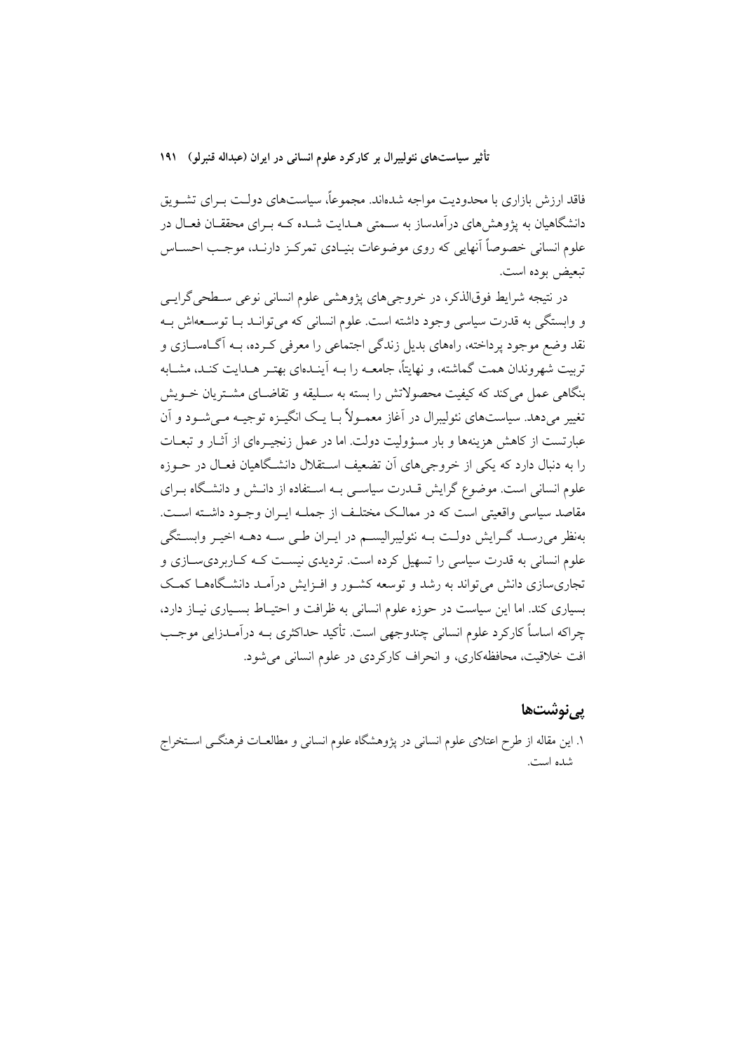فاقد ارزش بازاری با محدودیت مواجه شدهاند. مجموعاً، سیاستهای دولـت بـرای تشــویق دانشگاهیان به پژوهش های درآمدساز به سـمتی هـدایت شـده کـه بـرای محققـان فعـال در علوم انسانی خصوصاً آنهایی که روی موضوعات بنیـادی تمرکـز دارنـد، موجـب احســاس تبعيض بوده است.

در نتیجه شرایط فوقالذکر، در خروجیهای پژوهشی علوم انسانی نوعی سـطحی گرایــی و وابستگی به قدرت سیاسی وجود داشته است. علوم انسانی که می توانـد بـا توسـعهاش بـه نقد وضع موجود پرداخته، راههای بدیل زندگی اجتماعی را معرفی کـرده، بــه اَگــاهســازی و تربیت شهروندان همت گماشته، و نهایتاً، جامعــه را بــه آینــدهای بهتــر هــدایت کنــد، مشــابه .<br>بنگاهی عمل می کند که کیفیت محصولاتش را بسته به سـلیقه و تقاضـای مشـتریان خــویش تغییر می دهد. سیاستهای نئولیبرال در آغاز معمـولاً بـا یـک انگـــزه توجیــه مــ شــود و آن عبارتست از کاهش هزینهها و بار مسؤولیت دولت. اما در عمل زنجیـرمای از آثــار و تبعــات را به دنبال دارد که یکی از خروجی های آن تضعیف استقلال دانشگاهیان فعـال در حــوزه علوم انسانی است. موضوع گرایش قــدرت سیاســی بــه اســتفاده از دانــش و دانشــگاه بــرای مقاصد سیاسی واقعیتی است که در ممالک مختلف از جملـه ایـران وجـود داشـته اسـت. بهنظر می رسـد گـرایش دولـت بـه نئولیبرالیسـم در ایـران طـی سـه دهــه اخیــر وابسـتگی علوم انسانی به قدرت سیاسی را تسهیل کرده است. تردیدی نیسـت کـه کـاربردیسـازی و تجاری سازی دانش می تواند به رشد و توسعه کشـور و افـزایش درآمـد دانشـگاههـا کمـک بسیاری کند. اما این سیاست در حوزه علوم انسانی به ظرافت و احتیـاط بسـیاری نیـاز دارد، چراکه اساساً کارکرد علوم انسانی چندوجهی است. تأکید حداکثری بــه درآمــدزایی موجــب افت خلاقیت، محافظه کاری، و انحراف کارکردی در علوم انسانی می شود.

### یے نوشتھا

١. اين مقاله از طرح اعتلاى علوم انسانى در يژوهشگاه علوم انسانى و مطالعــات فرهنگــى اســتخراج شده است.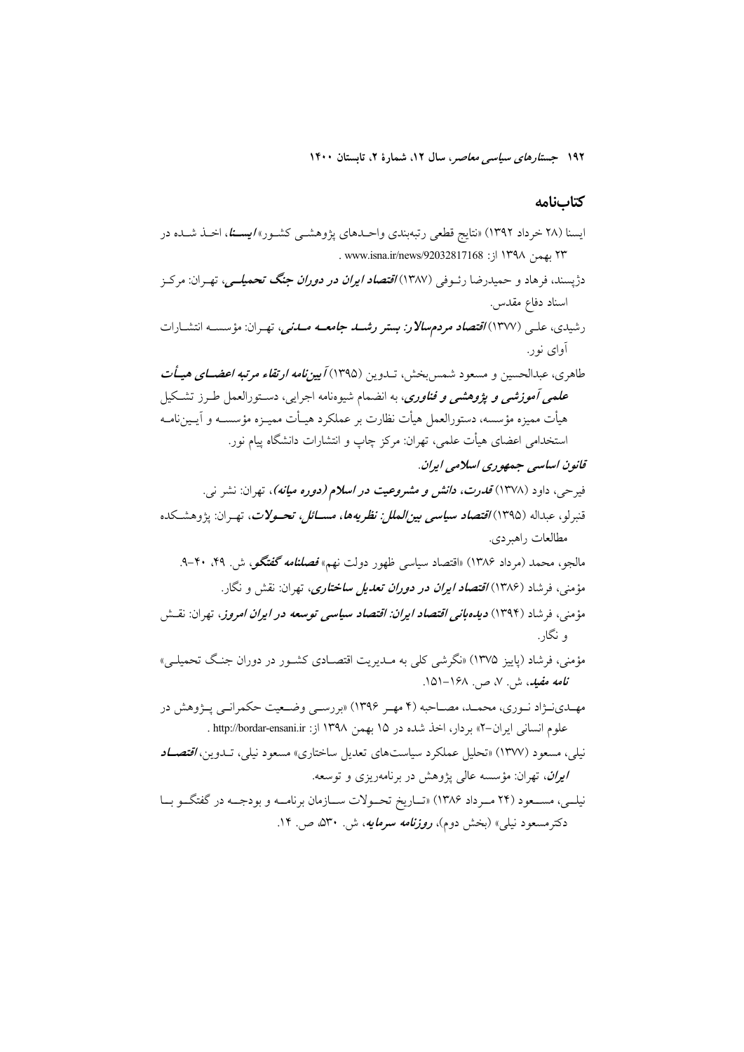#### كتابنامه

ایسنا (۲۸ خرداد ۱۳۹۲) «نتایج قطعی رتبهبندی واحـدهای پژوهشـی کشـور» *ایسـنا*، اخـذ شـده در ٢٣ بهمن ١٣٩٨ از: 1٣٩٨ /١٣٩٨ . www.isna.ir/news/92032817168 دژیسند، فرهاد و حمیدرضا رئـوفی (۱۳۸۷) *اقتصاد ایران در دوران جنگ تحمیلــی،* تهـران: مرکـز اسناد دفاع مقدس. رشیدی، علـی (۱۳۷۷) *اقتصاد مردمسالار: بستر رشــد جامعــه مــدنی*، تهـران: مؤسســه انتشــارات آوای نور . طاهري، عبدالحسين و مسعود شمس بخش، تــدوين (١٣٩۵) *آميين نامه ارتقاء مرتبه اعضــاي هيــأت علمی آموزشی و پژوهشی و فناوری*، به انضمام شیوهنامه اجرایی، دسـتورالعمل طـرز تشـکیل هيأت مميزه مؤسسه، دستورالعمل هيأت نظارت بر عملكرد هيـأت مميــزه مؤسســه و آيــينiامــه استخدامی اعضای هیأت علمی، تهران: مرکز چاپ و انتشارات دانشگاه پیام نور. قانون اساسی جمهوری اسلامی ایران. فیرحی، داود (۱۳۷۸) *قدرت، دانش و مشروعیت در اسلام (دوره میانه)*، تهران: نشر ن<sub>ی</sub>. قنبرلو، عبداله (١٣٩٥)/ق*تصاد سياسي بين|لملل: نظريهها، مســـائل، تحــولات*، تهـران: يژوهشـكده مطالعات راهبردي. مالجو، محمد (مرداد ۱۳۸۶) «اقتصاد سیاسی ظهور دولت نهم» *فصلنامه گفتگو*، ش. ۴۹، ۴۰-۹. مؤمني، فرشاد (۱۳۸۶) *اقتصاد ايران در دوران تعديل ساختاري*، تهران: نقش و نگار. مؤمنی، فرشاد (۱۳۹۴) **د***یده بانی اقتصاد ایران: اقتصاد سیاسی توسعه در ایران امروز، ته<sub>ر</sub>ان: نقــش* و نگار. مؤمني، فرشاد (پاييز ۱۳۷۵) «نگرشي کلي به مــديريت اقتصــادي کشــور در دوران جنـگ تحميلــي» نامه مفیلہ، ش. ۷، ص. ۱۶۸–۱۵۱. مهـدينــزاد نــوري، محمــد، مصــاحبه (۴ مهـر ۱۳۹۶) «بررســي وضــعيت حكمرانــي پــزوهش در علوم انسانی ایران-۲» بردار، اخذ شده در ۱۵ بهمن ۱۳۹۸ از: http://bordar-ensani.ir . نیلی، مسعود (۱۳۷۷) «تحلیل عملکرد سیاستهای تعدیل ساختاری» مسعود نیلی، تــدوین، *اقتصــاد* ايران، تهران: مؤسسه عالى پژوهش در برنامهريزي و توسعه. نيلـي، مســعود (٢۴ مــرداد ١٣٨۶) «تــاريخ تحــولات ســازمان برنامــه و بودجــه در گفتگــو بــا دکترمسعود نیل<sub>ی</sub>» (بخش دوم)، *روزنامه سرمایه*، ش ۳۰°۵ ص ۱۴.